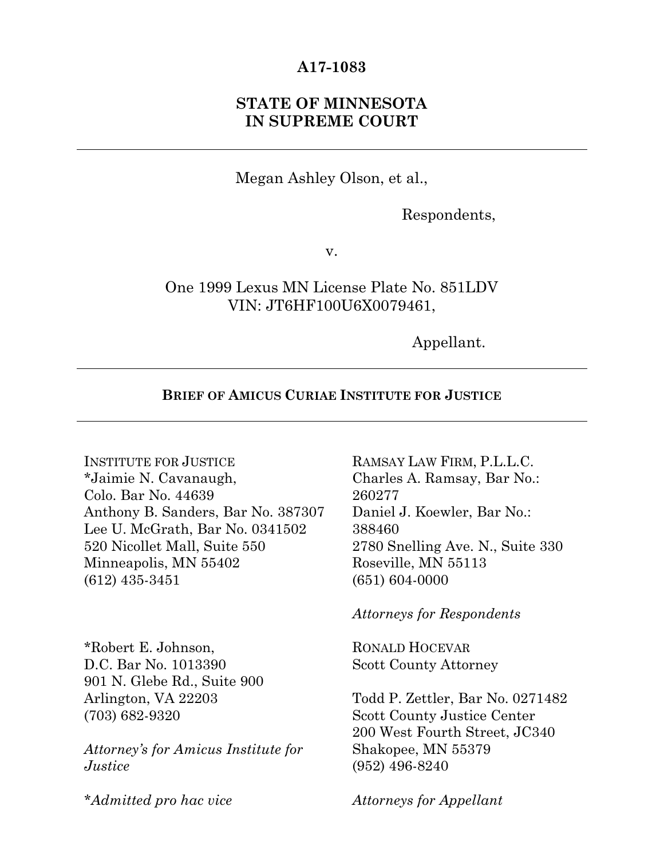## **A17-1083**

## **STATE OF MINNESOTA IN SUPREME COURT**

Megan Ashley Olson, et al.,

Respondents,

v.

One 1999 Lexus MN License Plate No. 851LDV VIN: JT6HF100U6X0079461,

Appellant.

### **BRIEF OF AMICUS CURIAE INSTITUTE FOR JUSTICE**

INSTITUTE FOR JUSTICE \*Jaimie N. Cavanaugh, Colo. Bar No. 44639 Anthony B. Sanders, Bar No. 387307 Lee U. McGrath, Bar No. 0341502 520 Nicollet Mall, Suite 550 Minneapolis, MN 55402 (612) 435-3451

\*Robert E. Johnson, D.C. Bar No. 1013390 901 N. Glebe Rd., Suite 900 Arlington, VA 22203 (703) 682-9320

*Attorney's for Amicus Institute for Justice*

RAMSAY LAW FIRM, P.L.L.C. Charles A. Ramsay, Bar No.: 260277 Daniel J. Koewler, Bar No.: 388460 2780 Snelling Ave. N., Suite 330 Roseville, MN 55113 (651) 604-0000

*Attorneys for Respondents*

RONALD HOCEVAR Scott County Attorney

Todd P. Zettler, Bar No. 0271482 Scott County Justice Center 200 West Fourth Street, JC340 Shakopee, MN 55379 (952) 496-8240

*\*Admitted pro hac vice*

*Attorneys for Appellant*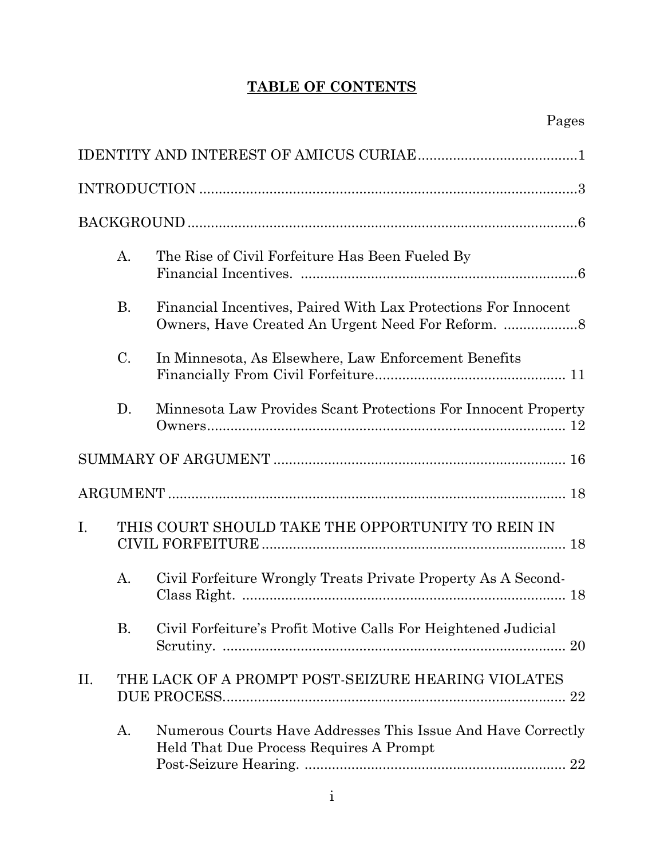# **TABLE OF CONTENTS**

|     | A.        | The Rise of Civil Forfeiture Has Been Fueled By                                                         |
|-----|-----------|---------------------------------------------------------------------------------------------------------|
|     | <b>B.</b> | Financial Incentives, Paired With Lax Protections For Innocent                                          |
|     | C.        | In Minnesota, As Elsewhere, Law Enforcement Benefits                                                    |
|     | D.        | Minnesota Law Provides Scant Protections For Innocent Property                                          |
|     |           |                                                                                                         |
|     |           |                                                                                                         |
| I.  |           | THIS COURT SHOULD TAKE THE OPPORTUNITY TO REIN IN                                                       |
|     | A.        | Civil Forfeiture Wrongly Treats Private Property As A Second-                                           |
|     | Β.        | Civil Forfeiture's Profit Motive Calls For Heightened Judicial                                          |
| II. |           | THE LACK OF A PROMPT POST-SEIZURE HEARING VIOLATES                                                      |
|     | А.        | Numerous Courts Have Addresses This Issue And Have Correctly<br>Held That Due Process Requires A Prompt |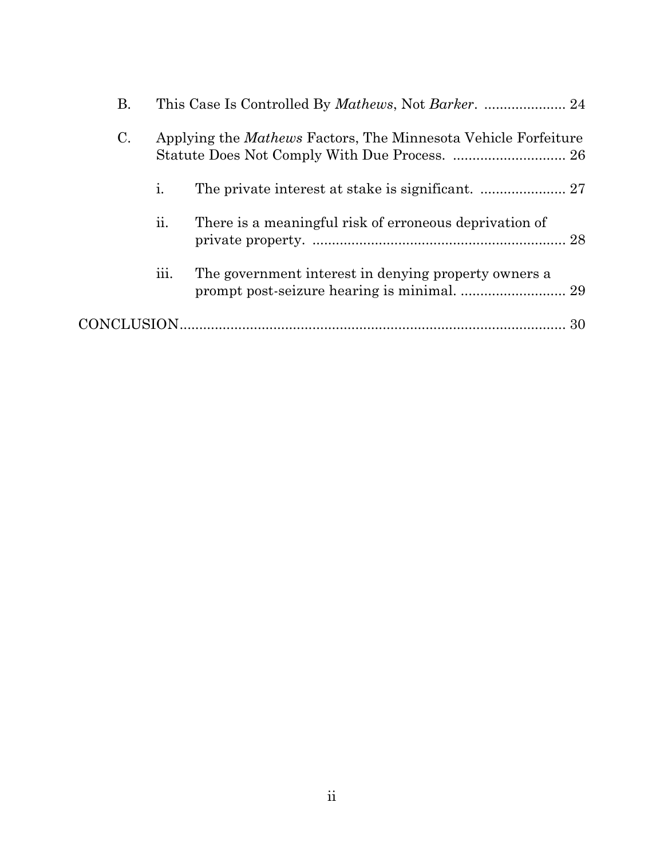| В.             |                                                                       |                                                        |
|----------------|-----------------------------------------------------------------------|--------------------------------------------------------|
| $\mathbf{C}$ . | Applying the <i>Mathews</i> Factors, The Minnesota Vehicle Forfeiture |                                                        |
|                | i.                                                                    |                                                        |
|                | 11.                                                                   | There is a meaningful risk of erroneous deprivation of |
|                | 111.                                                                  | The government interest in denying property owners a   |
|                |                                                                       | 30                                                     |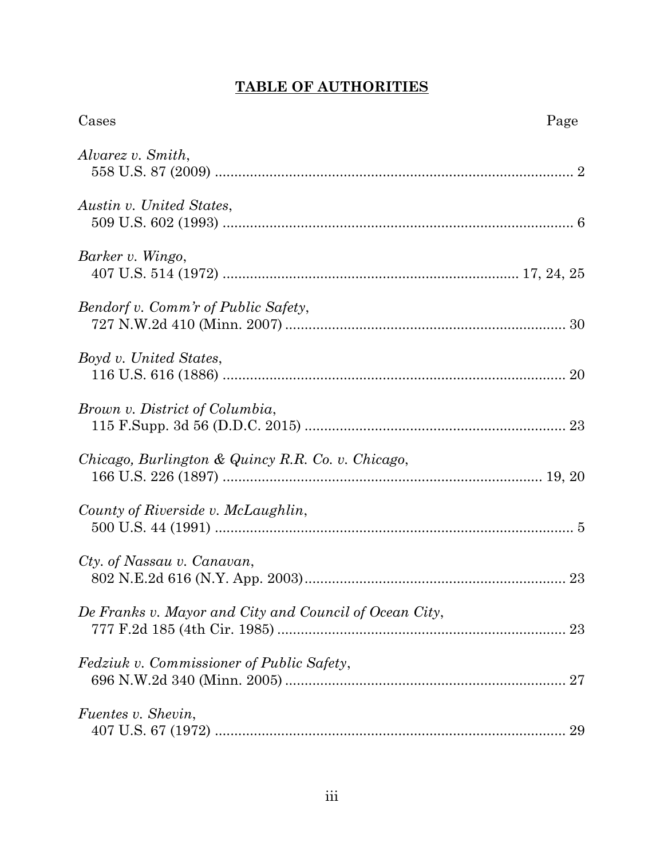# **TABLE OF AUTHORITIES**

| Cases                                                  | Page |
|--------------------------------------------------------|------|
| Alvarez v. Smith,                                      |      |
| Austin v. United States,                               |      |
| Barker v. Wingo,                                       |      |
| Bendorf v. Comm'r of Public Safety,                    |      |
| Boyd v. United States,                                 |      |
| Brown v. District of Columbia,                         |      |
| Chicago, Burlington & Quincy R.R. Co. v. Chicago,      |      |
| County of Riverside v. McLaughlin,                     |      |
| Cty. of Nassau v. Canavan,                             |      |
| De Franks v. Mayor and City and Council of Ocean City, |      |
| <i>Fedziuk v. Commissioner of Public Safety,</i>       |      |
| <i>Fuentes v. Shevin,</i>                              |      |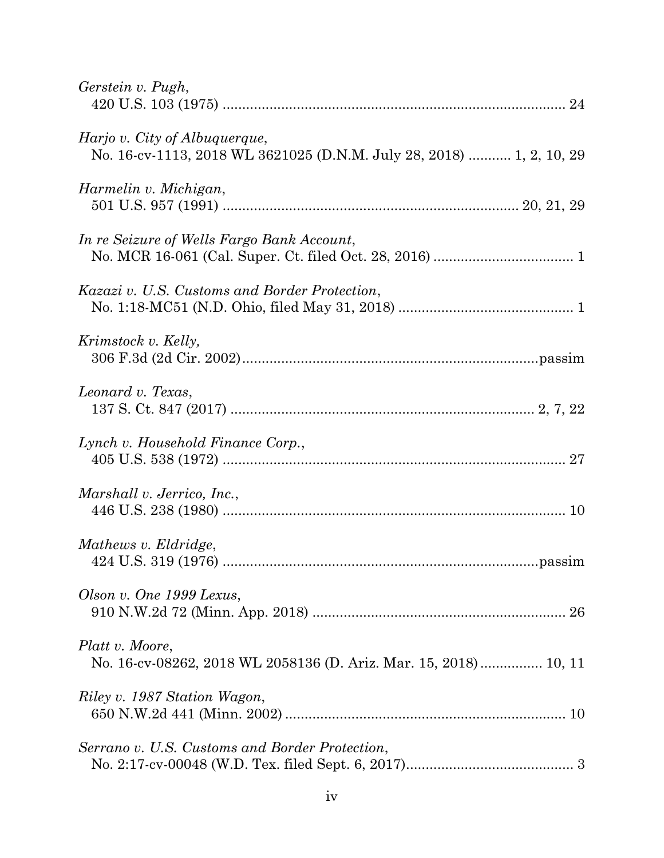| Gerstein v. Pugh,                                                                                     |
|-------------------------------------------------------------------------------------------------------|
| Harjo v. City of Albuquerque,<br>No. 16-cv-1113, 2018 WL 3621025 (D.N.M. July 28, 2018)  1, 2, 10, 29 |
| Harmelin v. Michigan,                                                                                 |
| In re Seizure of Wells Fargo Bank Account,                                                            |
| Kazazi v. U.S. Customs and Border Protection,                                                         |
| Krimstock v. Kelly,                                                                                   |
| Leonard v. Texas,                                                                                     |
| Lynch v. Household Finance Corp.,                                                                     |
| Marshall v. Jerrico, Inc.,                                                                            |
| Mathews v. Eldridge,                                                                                  |
| Olson v. One 1999 Lexus,                                                                              |
| Platt v. Moore,<br>No. 16-cv-08262, 2018 WL 2058136 (D. Ariz. Mar. 15, 2018) 10, 11                   |
| Riley v. 1987 Station Wagon,                                                                          |
| Serrano v. U.S. Customs and Border Protection,                                                        |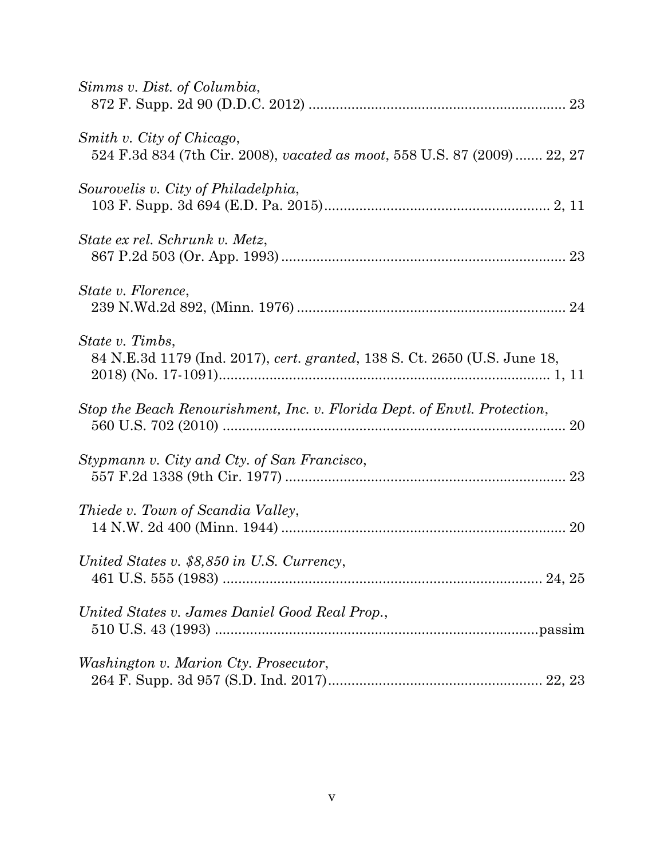| Simms v. Dist. of Columbia,                                                                            |
|--------------------------------------------------------------------------------------------------------|
| Smith v. City of Chicago,<br>524 F.3d 834 (7th Cir. 2008), vacated as moot, 558 U.S. 87 (2009)  22, 27 |
| Sourovelis v. City of Philadelphia,                                                                    |
| State ex rel. Schrunk v. Metz,                                                                         |
| State v. Florence,                                                                                     |
| State v. Timbs,<br>84 N.E.3d 1179 (Ind. 2017), cert. granted, 138 S. Ct. 2650 (U.S. June 18,           |
| Stop the Beach Renourishment, Inc. v. Florida Dept. of Envtl. Protection,                              |
| Stypmann v. City and Cty. of San Francisco,                                                            |
| <i>Thiede v. Town of Scandia Valley,</i>                                                               |
| United States v. \$8,850 in U.S. Currency,                                                             |
| United States v. James Daniel Good Real Prop.,                                                         |
| Washington v. Marion Cty. Prosecutor,                                                                  |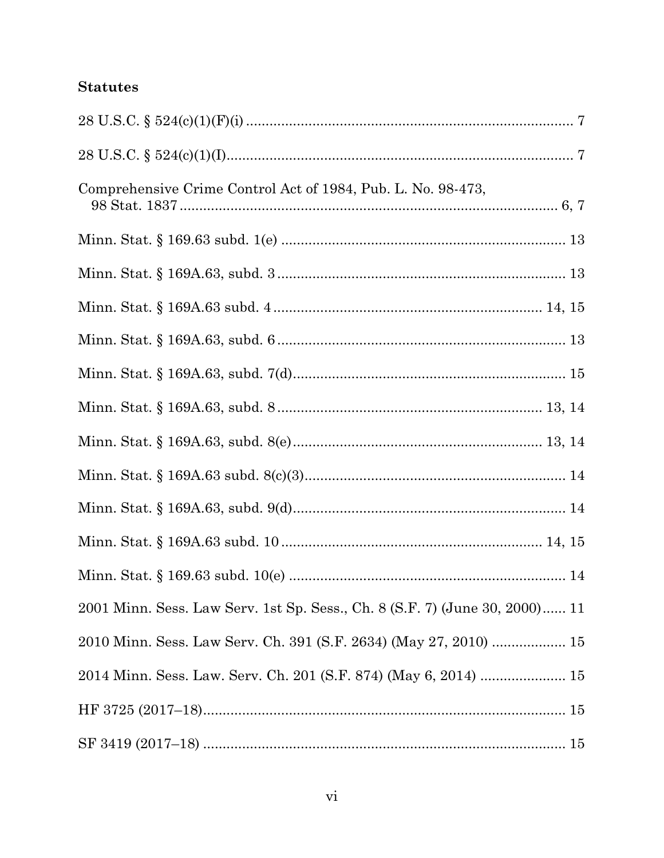## **Statutes**

| Comprehensive Crime Control Act of 1984, Pub. L. No. 98-473,                |  |
|-----------------------------------------------------------------------------|--|
|                                                                             |  |
|                                                                             |  |
|                                                                             |  |
|                                                                             |  |
|                                                                             |  |
|                                                                             |  |
|                                                                             |  |
|                                                                             |  |
|                                                                             |  |
|                                                                             |  |
|                                                                             |  |
| 2001 Minn. Sess. Law Serv. 1st Sp. Sess., Ch. 8 (S.F. 7) (June 30, 2000) 11 |  |
| 2010 Minn. Sess. Law Serv. Ch. 391 (S.F. 2634) (May 27, 2010)  15           |  |
| 2014 Minn. Sess. Law. Serv. Ch. 201 (S.F. 874) (May 6, 2014)  15            |  |
|                                                                             |  |
| $\rm SF~3419~(2017\text{--}18)~ \nonumber$                                  |  |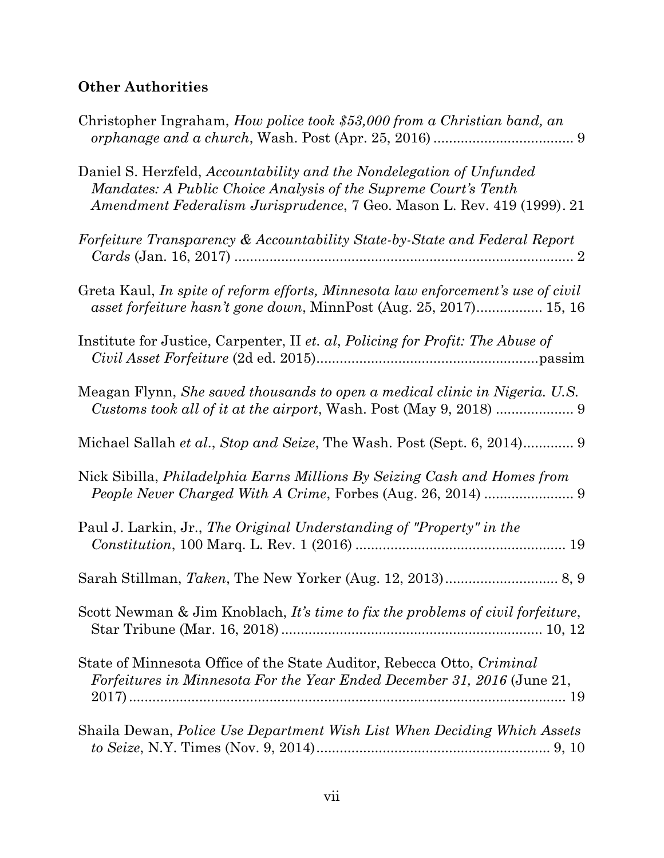## **Other Authorities**

| Christopher Ingraham, How police took \$53,000 from a Christian band, an                                                                                                                                           |
|--------------------------------------------------------------------------------------------------------------------------------------------------------------------------------------------------------------------|
| Daniel S. Herzfeld, Accountability and the Nondelegation of Unfunded<br>Mandates: A Public Choice Analysis of the Supreme Court's Tenth<br>Amendment Federalism Jurisprudence, 7 Geo. Mason L. Rev. 419 (1999). 21 |
| Forfeiture Transparency & Accountability State-by-State and Federal Report                                                                                                                                         |
| Greta Kaul, In spite of reform efforts, Minnesota law enforcement's use of civil<br>asset forfeiture hasn't gone down, MinnPost (Aug. 25, 2017) 15, 16                                                             |
| Institute for Justice, Carpenter, II et. al, Policing for Profit: The Abuse of                                                                                                                                     |
| Meagan Flynn, <i>She saved thousands to open a medical clinic in Nigeria. U.S.</i>                                                                                                                                 |
| Michael Sallah et al., Stop and Seize, The Wash. Post (Sept. 6, 2014) 9                                                                                                                                            |
| Nick Sibilla, <i>Philadelphia Earns Millions By Seizing Cash and Homes from</i>                                                                                                                                    |
| Paul J. Larkin, Jr., The Original Understanding of "Property" in the                                                                                                                                               |
|                                                                                                                                                                                                                    |
| Scott Newman & Jim Knoblach, It's time to fix the problems of civil forfeiture,                                                                                                                                    |
| State of Minnesota Office of the State Auditor, Rebecca Otto, Criminal<br>Forfeitures in Minnesota For the Year Ended December 31, 2016 (June 21,                                                                  |
| Shaila Dewan, Police Use Department Wish List When Deciding Which Assets                                                                                                                                           |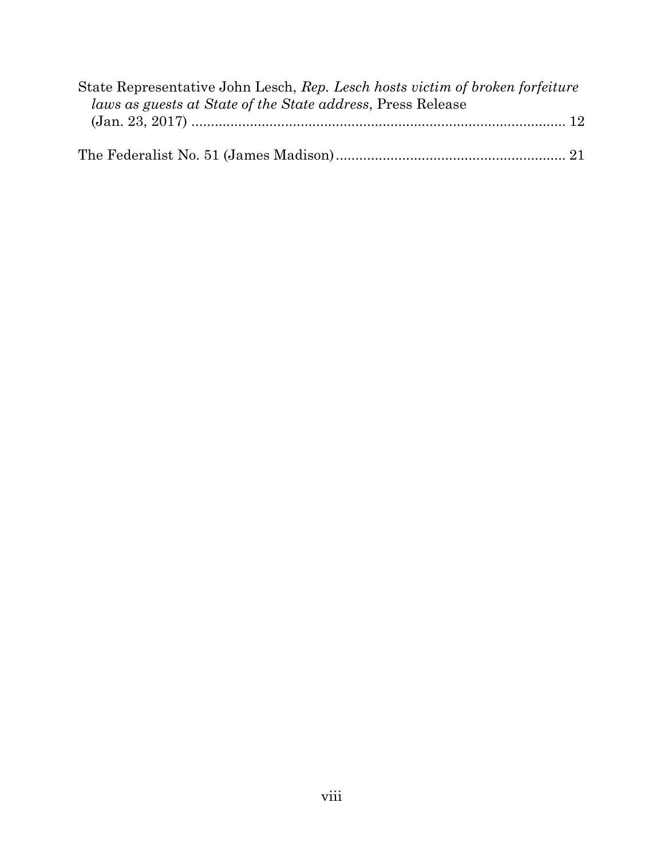| State Representative John Lesch, Rep. Lesch hosts victim of broken forfeiture |  |
|-------------------------------------------------------------------------------|--|
| <i>laws as guests at State of the State address, Press Release</i>            |  |
|                                                                               |  |
|                                                                               |  |
|                                                                               |  |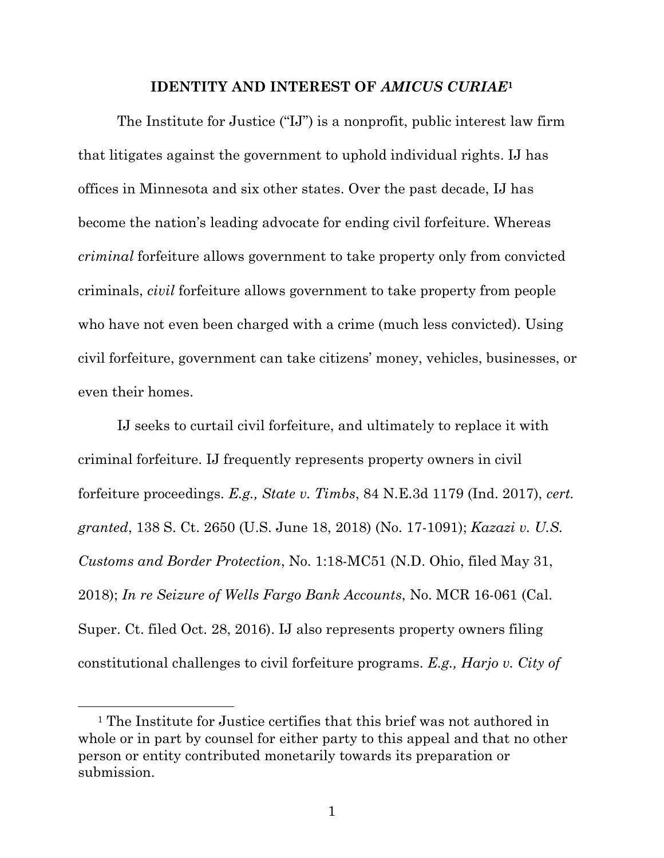#### **IDENTITY AND INTEREST OF** *AMICUS CURIAE***<sup>1</sup>**

The Institute for Justice ("IJ") is a nonprofit, public interest law firm that litigates against the government to uphold individual rights. IJ has offices in Minnesota and six other states. Over the past decade, IJ has become the nation's leading advocate for ending civil forfeiture. Whereas *criminal* forfeiture allows government to take property only from convicted criminals, *civil* forfeiture allows government to take property from people who have not even been charged with a crime (much less convicted). Using civil forfeiture, government can take citizens' money, vehicles, businesses, or even their homes.

IJ seeks to curtail civil forfeiture, and ultimately to replace it with criminal forfeiture. IJ frequently represents property owners in civil forfeiture proceedings. *E.g., State v. Timbs*, 84 N.E.3d 1179 (Ind. 2017), *cert. granted*, 138 S. Ct. 2650 (U.S. June 18, 2018) (No. 17-1091); *Kazazi v. U.S. Customs and Border Protection*, No. 1:18-MC51 (N.D. Ohio, filed May 31, 2018); *In re Seizure of Wells Fargo Bank Accounts*, No. MCR 16-061 (Cal. Super. Ct. filed Oct. 28, 2016). IJ also represents property owners filing constitutional challenges to civil forfeiture programs. *E.g., Harjo v. City of* 

<sup>&</sup>lt;sup>1</sup> The Institute for Justice certifies that this brief was not authored in whole or in part by counsel for either party to this appeal and that no other person or entity contributed monetarily towards its preparation or submission.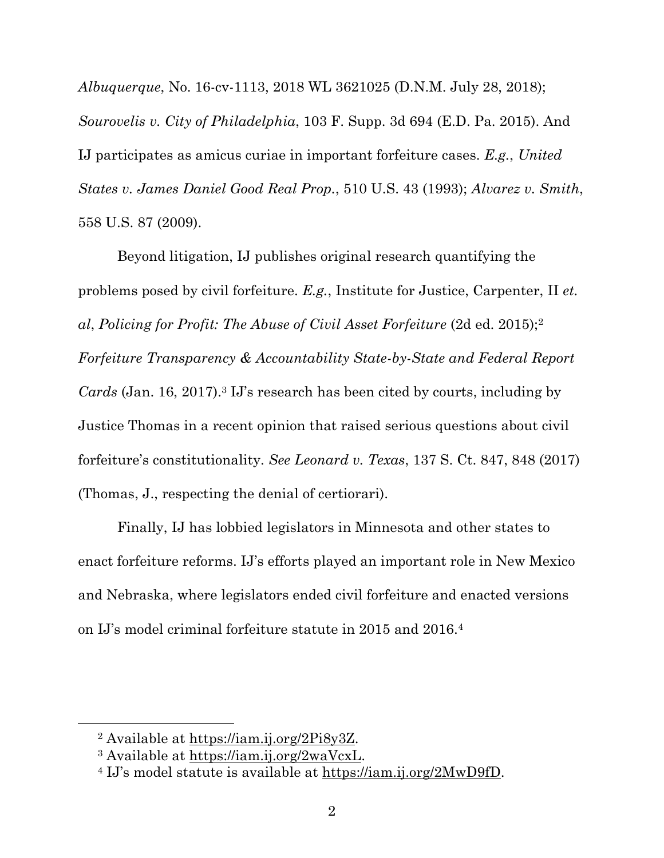*Albuquerque*, No. 16-cv-1113, 2018 WL 3621025 (D.N.M. July 28, 2018); *Sourovelis v. City of Philadelphia*, 103 F. Supp. 3d 694 (E.D. Pa. 2015). And IJ participates as amicus curiae in important forfeiture cases. *E.g.*, *United States v. James Daniel Good Real Prop.*, 510 U.S. 43 (1993); *Alvarez v. Smith*, 558 U.S. 87 (2009).

Beyond litigation, IJ publishes original research quantifying the problems posed by civil forfeiture. *E.g.*, Institute for Justice, Carpenter, II *et. al*, *Policing for Profit: The Abuse of Civil Asset Forfeiture* (2d ed. 2015);<sup>2</sup> *Forfeiture Transparency & Accountability State-by-State and Federal Report Cards* (Jan. 16, 2017). <sup>3</sup> IJ's research has been cited by courts, including by Justice Thomas in a recent opinion that raised serious questions about civil forfeiture's constitutionality. *See Leonard v. Texas*, 137 S. Ct. 847, 848 (2017) (Thomas, J., respecting the denial of certiorari).

Finally, IJ has lobbied legislators in Minnesota and other states to enact forfeiture reforms. IJ's efforts played an important role in New Mexico and Nebraska, where legislators ended civil forfeiture and enacted versions on IJ's model criminal forfeiture statute in 2015 and 2016.<sup>4</sup>

<sup>2</sup> Available at [https://iam.ij.org/2Pi8y3Z.](https://iam.ij.org/2Pi8y3Z)

<sup>3</sup> Available at [https://iam.ij.org/2waVcxL.](https://iam.ij.org/2waVcxL)

<sup>4</sup> IJ's model statute is available at [https://iam.ij.org/2MwD9fD.](https://iam.ij.org/2MwD9fD)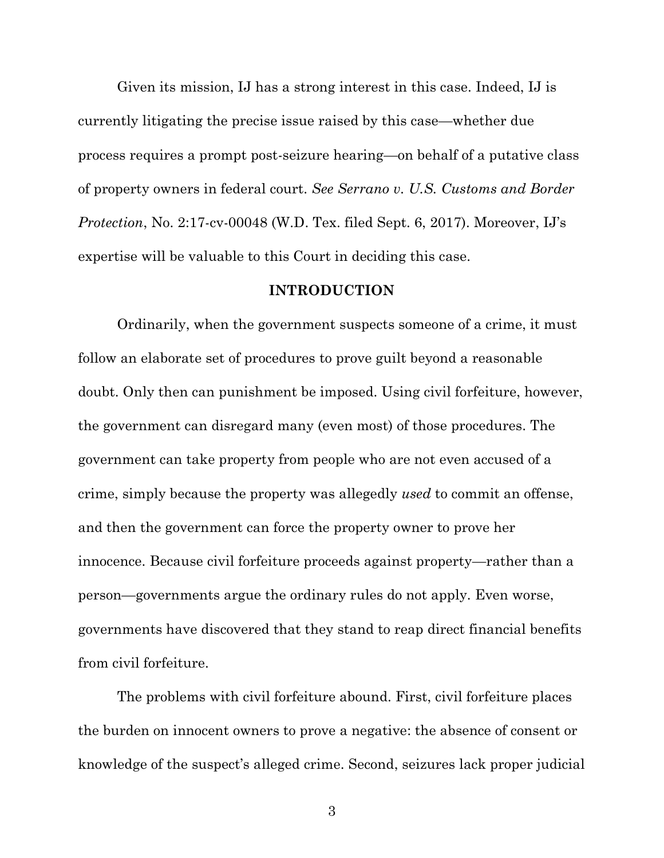Given its mission, IJ has a strong interest in this case. Indeed, IJ is currently litigating the precise issue raised by this case—whether due process requires a prompt post-seizure hearing—on behalf of a putative class of property owners in federal court. *See Serrano v. U.S. Customs and Border Protection*, No. 2:17-cv-00048 (W.D. Tex. filed Sept. 6, 2017). Moreover, IJ's expertise will be valuable to this Court in deciding this case.

#### **INTRODUCTION**

Ordinarily, when the government suspects someone of a crime, it must follow an elaborate set of procedures to prove guilt beyond a reasonable doubt. Only then can punishment be imposed. Using civil forfeiture, however, the government can disregard many (even most) of those procedures. The government can take property from people who are not even accused of a crime, simply because the property was allegedly *used* to commit an offense, and then the government can force the property owner to prove her innocence. Because civil forfeiture proceeds against property—rather than a person—governments argue the ordinary rules do not apply. Even worse, governments have discovered that they stand to reap direct financial benefits from civil forfeiture.

The problems with civil forfeiture abound. First, civil forfeiture places the burden on innocent owners to prove a negative: the absence of consent or knowledge of the suspect's alleged crime. Second, seizures lack proper judicial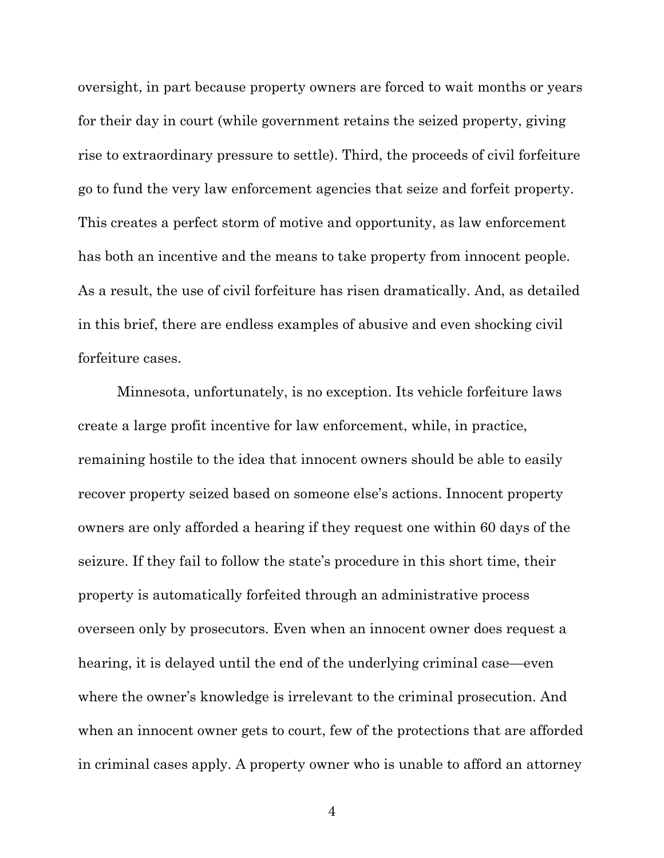oversight, in part because property owners are forced to wait months or years for their day in court (while government retains the seized property, giving rise to extraordinary pressure to settle). Third, the proceeds of civil forfeiture go to fund the very law enforcement agencies that seize and forfeit property. This creates a perfect storm of motive and opportunity, as law enforcement has both an incentive and the means to take property from innocent people. As a result, the use of civil forfeiture has risen dramatically. And, as detailed in this brief, there are endless examples of abusive and even shocking civil forfeiture cases.

Minnesota, unfortunately, is no exception. Its vehicle forfeiture laws create a large profit incentive for law enforcement, while, in practice, remaining hostile to the idea that innocent owners should be able to easily recover property seized based on someone else's actions. Innocent property owners are only afforded a hearing if they request one within 60 days of the seizure. If they fail to follow the state's procedure in this short time, their property is automatically forfeited through an administrative process overseen only by prosecutors. Even when an innocent owner does request a hearing, it is delayed until the end of the underlying criminal case—even where the owner's knowledge is irrelevant to the criminal prosecution. And when an innocent owner gets to court, few of the protections that are afforded in criminal cases apply. A property owner who is unable to afford an attorney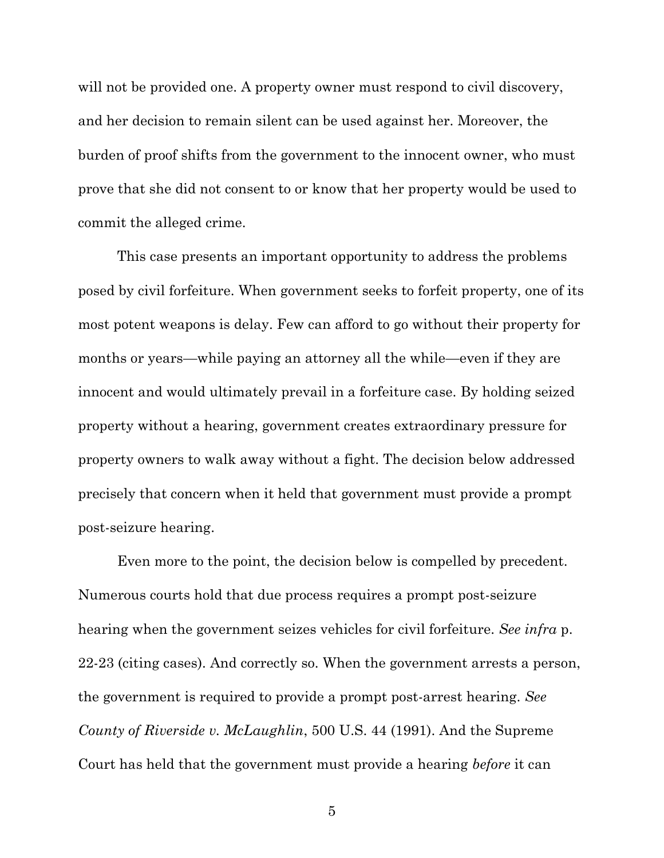will not be provided one. A property owner must respond to civil discovery, and her decision to remain silent can be used against her. Moreover, the burden of proof shifts from the government to the innocent owner, who must prove that she did not consent to or know that her property would be used to commit the alleged crime.

This case presents an important opportunity to address the problems posed by civil forfeiture. When government seeks to forfeit property, one of its most potent weapons is delay. Few can afford to go without their property for months or years—while paying an attorney all the while—even if they are innocent and would ultimately prevail in a forfeiture case. By holding seized property without a hearing, government creates extraordinary pressure for property owners to walk away without a fight. The decision below addressed precisely that concern when it held that government must provide a prompt post-seizure hearing.

Even more to the point, the decision below is compelled by precedent. Numerous courts hold that due process requires a prompt post-seizure hearing when the government seizes vehicles for civil forfeiture. *See infra* p. 22-23 (citing cases). And correctly so. When the government arrests a person, the government is required to provide a prompt post-arrest hearing. *See County of Riverside v. McLaughlin*, 500 U.S. 44 (1991). And the Supreme Court has held that the government must provide a hearing *before* it can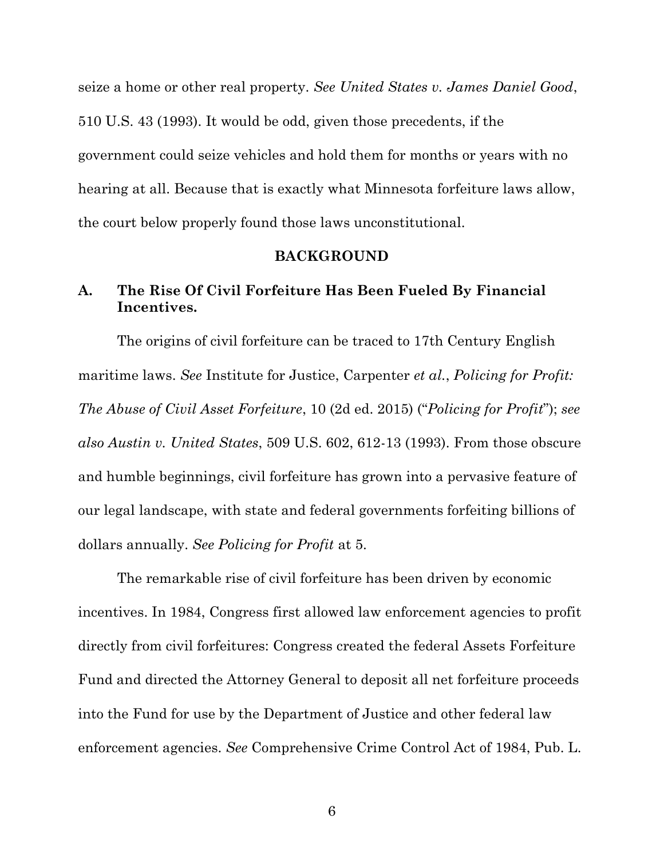seize a home or other real property. *See United States v. James Daniel Good*, 510 U.S. 43 (1993). It would be odd, given those precedents, if the government could seize vehicles and hold them for months or years with no hearing at all. Because that is exactly what Minnesota forfeiture laws allow, the court below properly found those laws unconstitutional.

#### **BACKGROUND**

## **A. The Rise Of Civil Forfeiture Has Been Fueled By Financial Incentives.**

The origins of civil forfeiture can be traced to 17th Century English maritime laws. *See* Institute for Justice, Carpenter *et al.*, *Policing for Profit: The Abuse of Civil Asset Forfeiture*, 10 (2d ed. 2015) ("*Policing for Profit*"); *see also Austin v. United States*, 509 U.S. 602, 612-13 (1993). From those obscure and humble beginnings, civil forfeiture has grown into a pervasive feature of our legal landscape, with state and federal governments forfeiting billions of dollars annually. *See Policing for Profit* at 5.

The remarkable rise of civil forfeiture has been driven by economic incentives. In 1984, Congress first allowed law enforcement agencies to profit directly from civil forfeitures: Congress created the federal Assets Forfeiture Fund and directed the Attorney General to deposit all net forfeiture proceeds into the Fund for use by the Department of Justice and other federal law enforcement agencies. *See* Comprehensive Crime Control Act of 1984, Pub. L.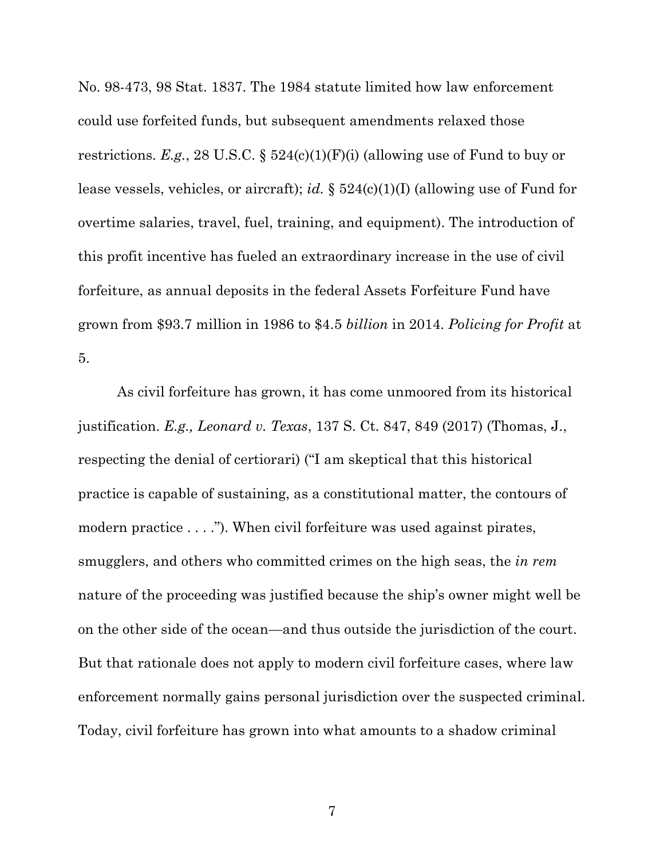No. 98-473, 98 Stat. 1837. The 1984 statute limited how law enforcement could use forfeited funds, but subsequent amendments relaxed those restrictions. *E.g.*, 28 U.S.C. § 524(c)(1)(F)(i) (allowing use of Fund to buy or lease vessels, vehicles, or aircraft); *id.* § 524(c)(1)(I) (allowing use of Fund for overtime salaries, travel, fuel, training, and equipment). The introduction of this profit incentive has fueled an extraordinary increase in the use of civil forfeiture, as annual deposits in the federal Assets Forfeiture Fund have grown from \$93.7 million in 1986 to \$4.5 *billion* in 2014. *Policing for Profit* at 5.

As civil forfeiture has grown, it has come unmoored from its historical justification. *E.g., Leonard v. Texas*, 137 S. Ct. 847, 849 (2017) (Thomas, J., respecting the denial of certiorari) ("I am skeptical that this historical practice is capable of sustaining, as a constitutional matter, the contours of modern practice . . . ."). When civil forfeiture was used against pirates, smugglers, and others who committed crimes on the high seas, the *in rem*  nature of the proceeding was justified because the ship's owner might well be on the other side of the ocean—and thus outside the jurisdiction of the court. But that rationale does not apply to modern civil forfeiture cases, where law enforcement normally gains personal jurisdiction over the suspected criminal. Today, civil forfeiture has grown into what amounts to a shadow criminal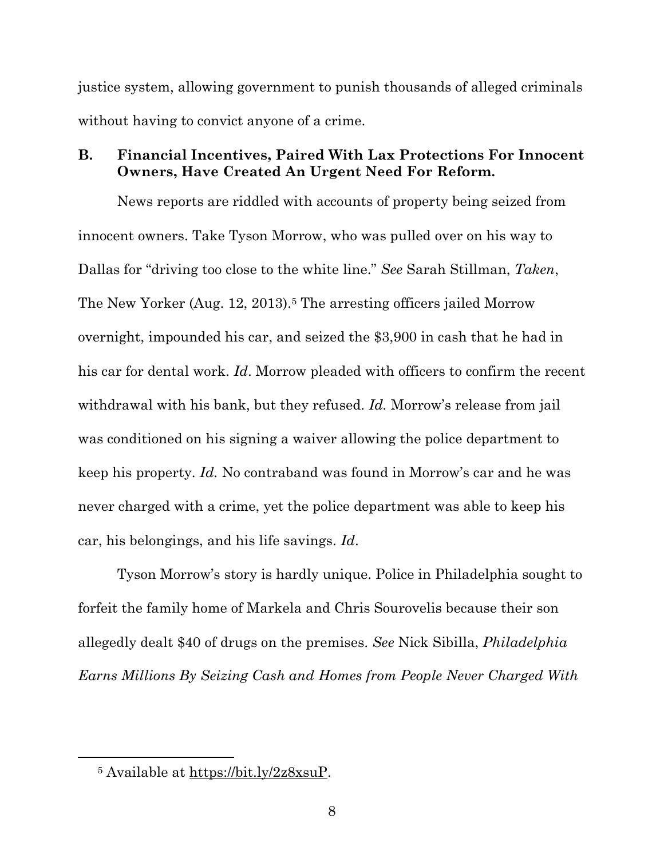justice system, allowing government to punish thousands of alleged criminals without having to convict anyone of a crime.

### **B. Financial Incentives, Paired With Lax Protections For Innocent Owners, Have Created An Urgent Need For Reform.**

News reports are riddled with accounts of property being seized from innocent owners. Take Tyson Morrow, who was pulled over on his way to Dallas for "driving too close to the white line." *See* Sarah Stillman, *Taken*, The New Yorker (Aug. 12, 2013).<sup>5</sup> The arresting officers jailed Morrow overnight, impounded his car, and seized the \$3,900 in cash that he had in his car for dental work. *Id*. Morrow pleaded with officers to confirm the recent withdrawal with his bank, but they refused. *Id.* Morrow's release from jail was conditioned on his signing a waiver allowing the police department to keep his property. *Id.* No contraband was found in Morrow's car and he was never charged with a crime, yet the police department was able to keep his car, his belongings, and his life savings. *Id*.

Tyson Morrow's story is hardly unique. Police in Philadelphia sought to forfeit the family home of Markela and Chris Sourovelis because their son allegedly dealt \$40 of drugs on the premises. *See* Nick Sibilla, *Philadelphia Earns Millions By Seizing Cash and Homes from People Never Charged With* 

<sup>5</sup> Available at [https://bit.ly/2z8xsuP.](https://bit.ly/2z8xsuP)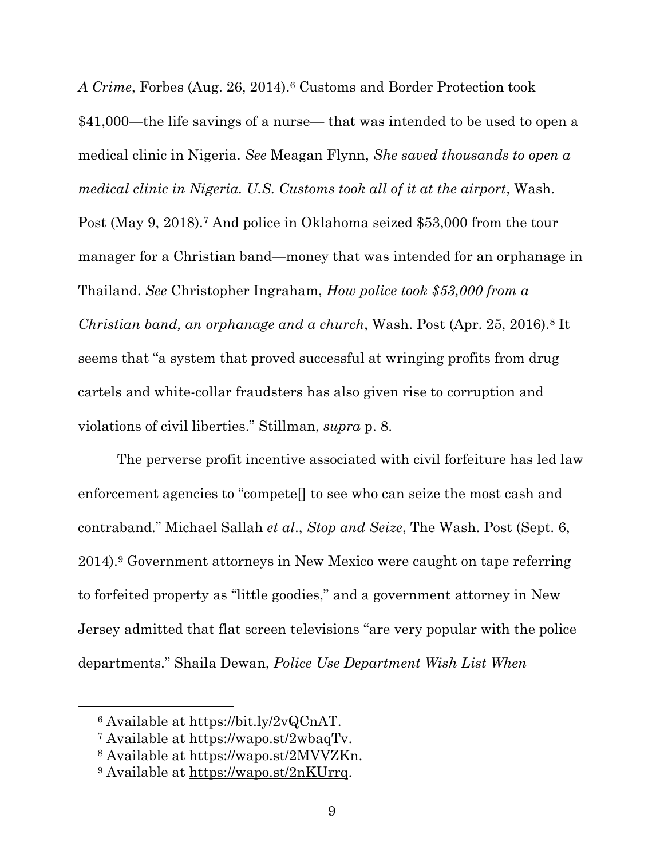*A Crime*, Forbes (Aug. 26, 2014).<sup>6</sup> Customs and Border Protection took \$41,000—the life savings of a nurse— that was intended to be used to open a medical clinic in Nigeria. *See* Meagan Flynn, *She saved thousands to open a medical clinic in Nigeria. U.S. Customs took all of it at the airport*, Wash.

Post (May 9, 2018).<sup>7</sup> And police in Oklahoma seized \$53,000 from the tour manager for a Christian band—money that was intended for an orphanage in Thailand. *See* Christopher Ingraham, *How police took \$53,000 from a Christian band, an orphanage and a church*, Wash. Post (Apr. 25, 2016).<sup>8</sup> It seems that "a system that proved successful at wringing profits from drug cartels and white-collar fraudsters has also given rise to corruption and violations of civil liberties." Stillman, *supra* p. 8.

The perverse profit incentive associated with civil forfeiture has led law enforcement agencies to "compete[] to see who can seize the most cash and contraband." Michael Sallah *et al*., *Stop and Seize*, The Wash. Post (Sept. 6, 2014).<sup>9</sup> Government attorneys in New Mexico were caught on tape referring to forfeited property as "little goodies," and a government attorney in New Jersey admitted that flat screen televisions "are very popular with the police departments." Shaila Dewan, *Police Use Department Wish List When* 

<sup>6</sup> Available at [https://bit.ly/2vQCnAT.](https://bit.ly/2vQCnAT)

<sup>7</sup> Available at [https://wapo.st/2wbaqTv.](https://wapo.st/2wbaqTv)

<sup>8</sup> Available at [https://wapo.st/2MVVZKn.](https://wapo.st/2MVVZKn)

<sup>9</sup> Available at [https://wapo.st/2nKUrrq.](https://wapo.st/2nKUrrq)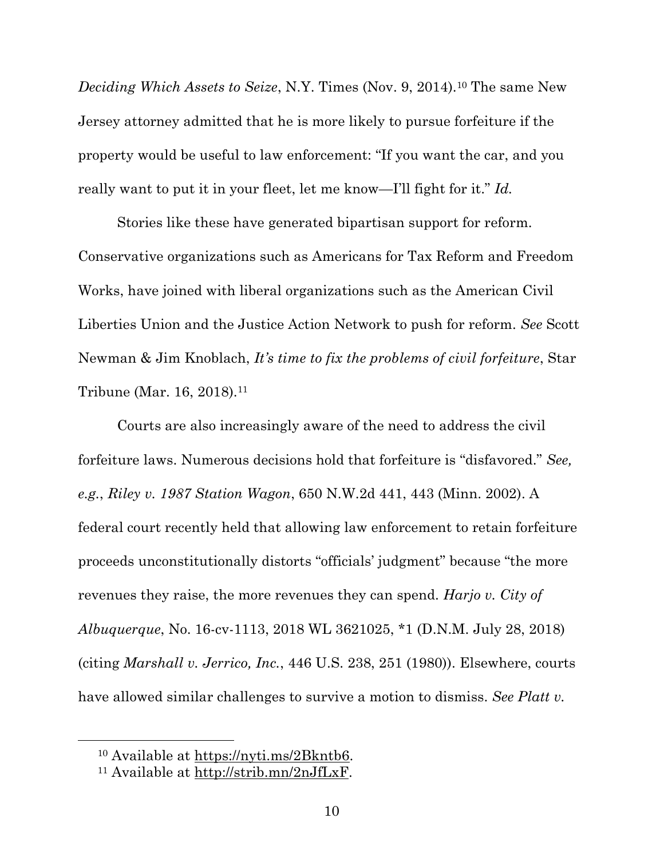*Deciding Which Assets to Seize*, N.Y. Times (Nov. 9, 2014).<sup>10</sup> The same New Jersey attorney admitted that he is more likely to pursue forfeiture if the property would be useful to law enforcement: "If you want the car, and you really want to put it in your fleet, let me know—I'll fight for it." *Id.*

Stories like these have generated bipartisan support for reform. Conservative organizations such as Americans for Tax Reform and Freedom Works, have joined with liberal organizations such as the American Civil Liberties Union and the Justice Action Network to push for reform. *See* Scott Newman & Jim Knoblach, *It's time to fix the problems of civil forfeiture*, Star Tribune (Mar. 16, 2018).<sup>11</sup>

Courts are also increasingly aware of the need to address the civil forfeiture laws. Numerous decisions hold that forfeiture is "disfavored." *See, e.g.*, *Riley v. 1987 Station Wagon*, 650 N.W.2d 441, 443 (Minn. 2002). A federal court recently held that allowing law enforcement to retain forfeiture proceeds unconstitutionally distorts "officials' judgment" because "the more revenues they raise, the more revenues they can spend. *Harjo v. City of Albuquerque*, No. 16-cv-1113, 2018 WL 3621025, \*1 (D.N.M. July 28, 2018) (citing *Marshall v. Jerrico, Inc.*, 446 U.S. 238, 251 (1980)). Elsewhere, courts have allowed similar challenges to survive a motion to dismiss. *See Platt v.* 

<sup>10</sup> Available at [https://nyti.ms/2Bkntb6.](https://nyti.ms/2Bkntb6)

<sup>11</sup> Available at [http://strib.mn/2nJfLxF.](http://strib.mn/2nJfLxF)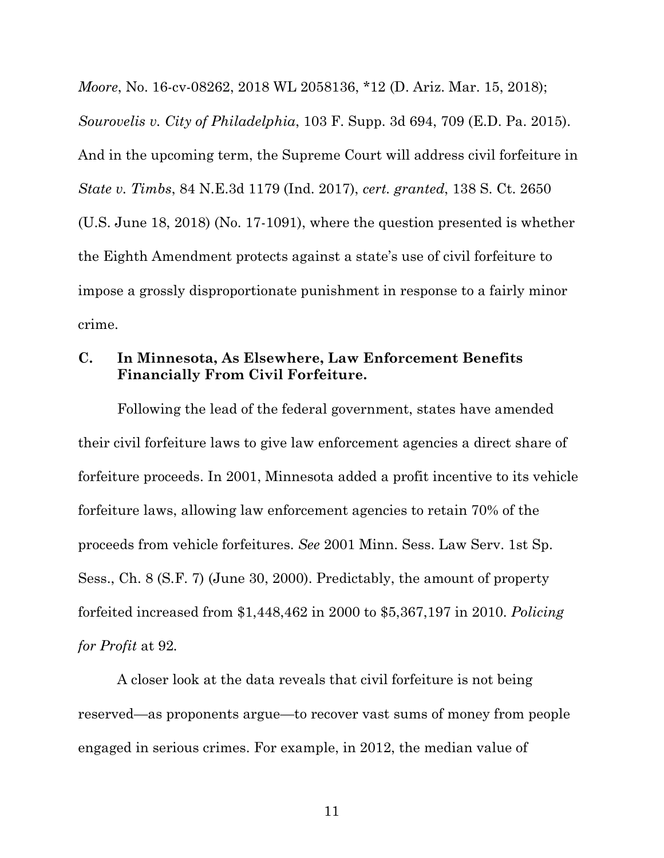*Moore*, No. 16-cv-08262, 2018 WL 2058136, \*12 (D. Ariz. Mar. 15, 2018); *Sourovelis v. City of Philadelphia*, 103 F. Supp. 3d 694, 709 (E.D. Pa. 2015). And in the upcoming term, the Supreme Court will address civil forfeiture in *State v. Timbs*, 84 N.E.3d 1179 (Ind. 2017), *cert. granted*, 138 S. Ct. 2650 (U.S. June 18, 2018) (No. 17-1091), where the question presented is whether the Eighth Amendment protects against a state's use of civil forfeiture to impose a grossly disproportionate punishment in response to a fairly minor crime.

### **C. In Minnesota, As Elsewhere, Law Enforcement Benefits Financially From Civil Forfeiture.**

Following the lead of the federal government, states have amended their civil forfeiture laws to give law enforcement agencies a direct share of forfeiture proceeds. In 2001, Minnesota added a profit incentive to its vehicle forfeiture laws, allowing law enforcement agencies to retain 70% of the proceeds from vehicle forfeitures. *See* 2001 Minn. Sess. Law Serv. 1st Sp. Sess., Ch. 8 (S.F. 7) (June 30, 2000). Predictably, the amount of property forfeited increased from \$1,448,462 in 2000 to \$5,367,197 in 2010. *Policing for Profit* at 92*.*

A closer look at the data reveals that civil forfeiture is not being reserved—as proponents argue—to recover vast sums of money from people engaged in serious crimes. For example, in 2012, the median value of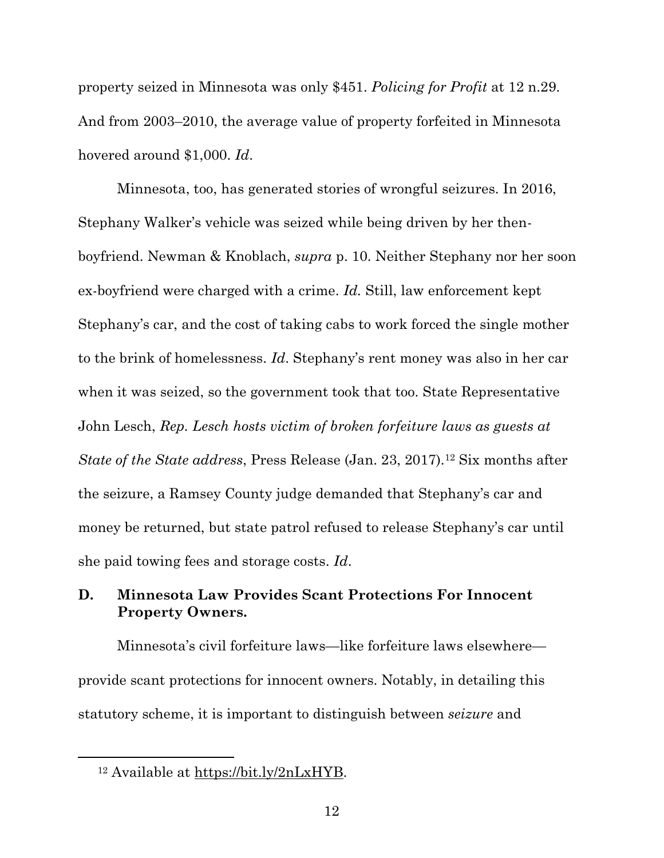property seized in Minnesota was only \$451. *Policing for Profit* at 12 n.29. And from 2003–2010, the average value of property forfeited in Minnesota hovered around \$1,000. *Id*.

Minnesota, too, has generated stories of wrongful seizures. In 2016, Stephany Walker's vehicle was seized while being driven by her thenboyfriend. Newman & Knoblach, *supra* p. 10. Neither Stephany nor her soon ex-boyfriend were charged with a crime. *Id.* Still, law enforcement kept Stephany's car, and the cost of taking cabs to work forced the single mother to the brink of homelessness. *Id*. Stephany's rent money was also in her car when it was seized, so the government took that too. State Representative John Lesch, *Rep. Lesch hosts victim of broken forfeiture laws as guests at State of the State address*, Press Release (Jan. 23, 2017).<sup>12</sup> Six months after the seizure, a Ramsey County judge demanded that Stephany's car and money be returned, but state patrol refused to release Stephany's car until she paid towing fees and storage costs. *Id*.

## **D. Minnesota Law Provides Scant Protections For Innocent Property Owners.**

Minnesota's civil forfeiture laws—like forfeiture laws elsewhere provide scant protections for innocent owners. Notably, in detailing this statutory scheme, it is important to distinguish between *seizure* and

<sup>12</sup> Available at [https://bit.ly/2nLxHYB.](https://bit.ly/2nLxHYB)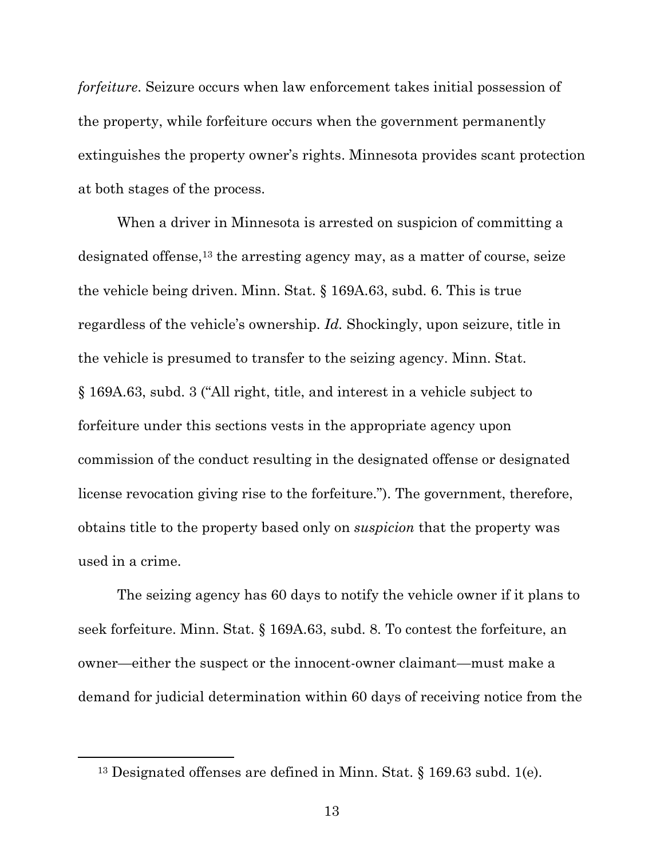*forfeiture*. Seizure occurs when law enforcement takes initial possession of the property, while forfeiture occurs when the government permanently extinguishes the property owner's rights. Minnesota provides scant protection at both stages of the process.

When a driver in Minnesota is arrested on suspicion of committing a designated offense,  $^{13}$  the arresting agency may, as a matter of course, seize the vehicle being driven. Minn. Stat. § 169A.63, subd. 6. This is true regardless of the vehicle's ownership. *Id.* Shockingly, upon seizure, title in the vehicle is presumed to transfer to the seizing agency. Minn. Stat. § 169A.63, subd. 3 ("All right, title, and interest in a vehicle subject to forfeiture under this sections vests in the appropriate agency upon commission of the conduct resulting in the designated offense or designated license revocation giving rise to the forfeiture."). The government, therefore, obtains title to the property based only on *suspicion* that the property was used in a crime.

The seizing agency has 60 days to notify the vehicle owner if it plans to seek forfeiture. Minn. Stat. § 169A.63, subd. 8. To contest the forfeiture, an owner—either the suspect or the innocent-owner claimant—must make a demand for judicial determination within 60 days of receiving notice from the

<sup>13</sup> Designated offenses are defined in Minn. Stat. § 169.63 subd. 1(e).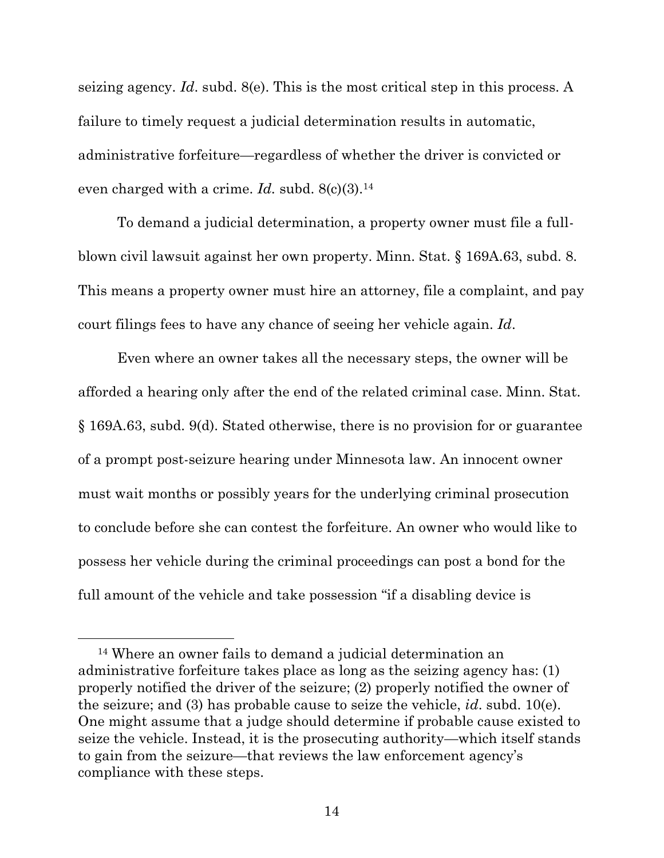seizing agency. *Id*. subd. 8(e). This is the most critical step in this process. A failure to timely request a judicial determination results in automatic, administrative forfeiture—regardless of whether the driver is convicted or even charged with a crime. *Id.* subd. 8(c)(3).<sup>14</sup>

To demand a judicial determination, a property owner must file a fullblown civil lawsuit against her own property. Minn. Stat. § 169A.63, subd. 8. This means a property owner must hire an attorney, file a complaint, and pay court filings fees to have any chance of seeing her vehicle again. *Id*.

Even where an owner takes all the necessary steps, the owner will be afforded a hearing only after the end of the related criminal case. Minn. Stat. § 169A.63, subd. 9(d). Stated otherwise, there is no provision for or guarantee of a prompt post-seizure hearing under Minnesota law. An innocent owner must wait months or possibly years for the underlying criminal prosecution to conclude before she can contest the forfeiture. An owner who would like to possess her vehicle during the criminal proceedings can post a bond for the full amount of the vehicle and take possession "if a disabling device is

<sup>14</sup> Where an owner fails to demand a judicial determination an administrative forfeiture takes place as long as the seizing agency has: (1) properly notified the driver of the seizure; (2) properly notified the owner of the seizure; and (3) has probable cause to seize the vehicle, *id*. subd. 10(e). One might assume that a judge should determine if probable cause existed to seize the vehicle. Instead, it is the prosecuting authority—which itself stands to gain from the seizure—that reviews the law enforcement agency's compliance with these steps.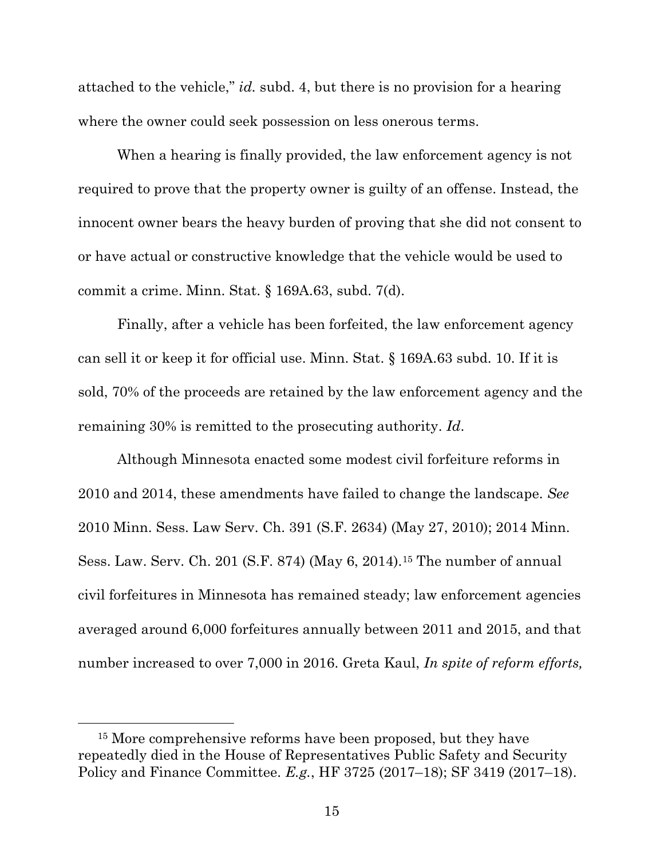attached to the vehicle," *id.* subd. 4, but there is no provision for a hearing where the owner could seek possession on less onerous terms.

When a hearing is finally provided, the law enforcement agency is not required to prove that the property owner is guilty of an offense. Instead, the innocent owner bears the heavy burden of proving that she did not consent to or have actual or constructive knowledge that the vehicle would be used to commit a crime. Minn. Stat. § 169A.63, subd. 7(d).

Finally, after a vehicle has been forfeited, the law enforcement agency can sell it or keep it for official use. Minn. Stat. § 169A.63 subd. 10. If it is sold, 70% of the proceeds are retained by the law enforcement agency and the remaining 30% is remitted to the prosecuting authority. *Id*.

Although Minnesota enacted some modest civil forfeiture reforms in 2010 and 2014, these amendments have failed to change the landscape. *See* 2010 Minn. Sess. Law Serv. Ch. 391 (S.F. 2634) (May 27, 2010); 2014 Minn. Sess. Law. Serv. Ch. 201 (S.F. 874) (May 6, 2014).<sup>15</sup> The number of annual civil forfeitures in Minnesota has remained steady; law enforcement agencies averaged around 6,000 forfeitures annually between 2011 and 2015, and that number increased to over 7,000 in 2016. Greta Kaul, *In spite of reform efforts,* 

<sup>&</sup>lt;sup>15</sup> More comprehensive reforms have been proposed, but they have repeatedly died in the House of Representatives Public Safety and Security Policy and Finance Committee. *E.g.*, HF 3725 (2017–18); SF 3419 (2017–18).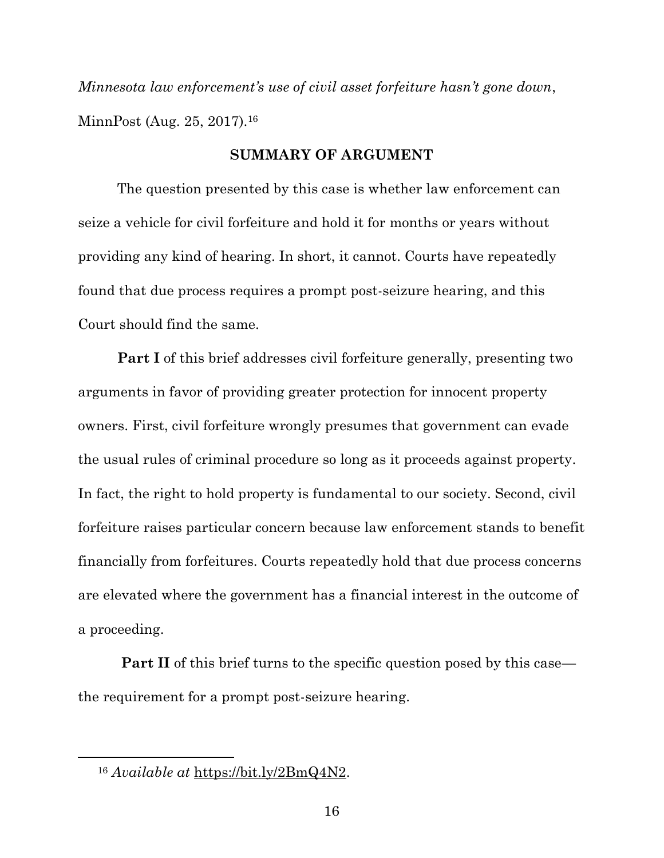*Minnesota law enforcement's use of civil asset forfeiture hasn't gone down*, MinnPost (Aug. 25, 2017).<sup>16</sup>

#### **SUMMARY OF ARGUMENT**

The question presented by this case is whether law enforcement can seize a vehicle for civil forfeiture and hold it for months or years without providing any kind of hearing. In short, it cannot. Courts have repeatedly found that due process requires a prompt post-seizure hearing, and this Court should find the same.

**Part I** of this brief addresses civil forfeiture generally, presenting two arguments in favor of providing greater protection for innocent property owners. First, civil forfeiture wrongly presumes that government can evade the usual rules of criminal procedure so long as it proceeds against property. In fact, the right to hold property is fundamental to our society. Second, civil forfeiture raises particular concern because law enforcement stands to benefit financially from forfeitures. Courts repeatedly hold that due process concerns are elevated where the government has a financial interest in the outcome of a proceeding.

**Part II** of this brief turns to the specific question posed by this case the requirement for a prompt post-seizure hearing.

<sup>16</sup> *Available at* [https://bit.ly/2BmQ4N2.](https://bit.ly/2BmQ4N2)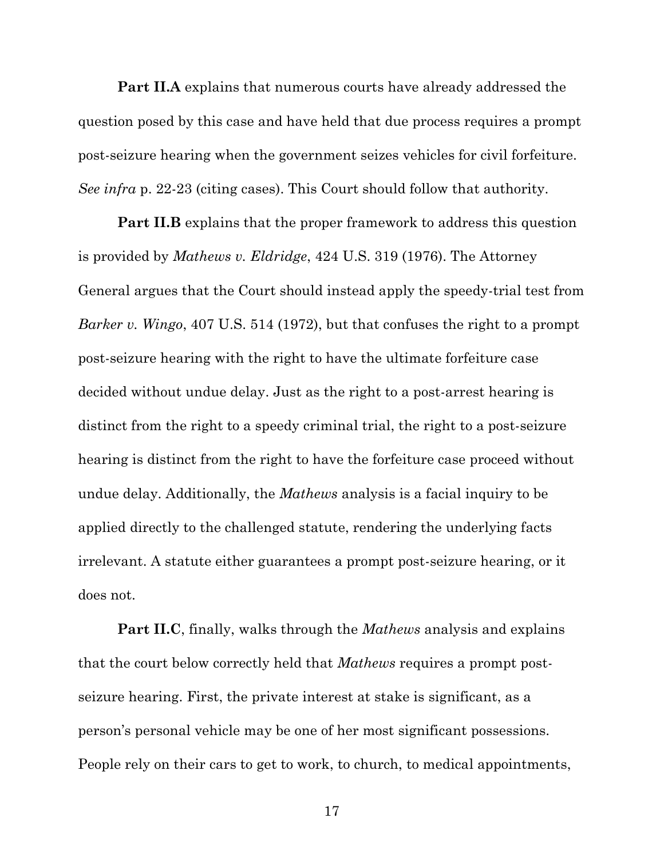**Part II.A** explains that numerous courts have already addressed the question posed by this case and have held that due process requires a prompt post-seizure hearing when the government seizes vehicles for civil forfeiture. *See infra* p. 22-23 (citing cases). This Court should follow that authority.

**Part II.B** explains that the proper framework to address this question is provided by *Mathews v. Eldridge*, 424 U.S. 319 (1976). The Attorney General argues that the Court should instead apply the speedy-trial test from *Barker v. Wingo*, 407 U.S. 514 (1972), but that confuses the right to a prompt post-seizure hearing with the right to have the ultimate forfeiture case decided without undue delay. Just as the right to a post-arrest hearing is distinct from the right to a speedy criminal trial, the right to a post-seizure hearing is distinct from the right to have the forfeiture case proceed without undue delay. Additionally, the *Mathews* analysis is a facial inquiry to be applied directly to the challenged statute, rendering the underlying facts irrelevant. A statute either guarantees a prompt post-seizure hearing, or it does not.

**Part II.C**, finally, walks through the *Mathews* analysis and explains that the court below correctly held that *Mathews* requires a prompt postseizure hearing. First, the private interest at stake is significant, as a person's personal vehicle may be one of her most significant possessions. People rely on their cars to get to work, to church, to medical appointments,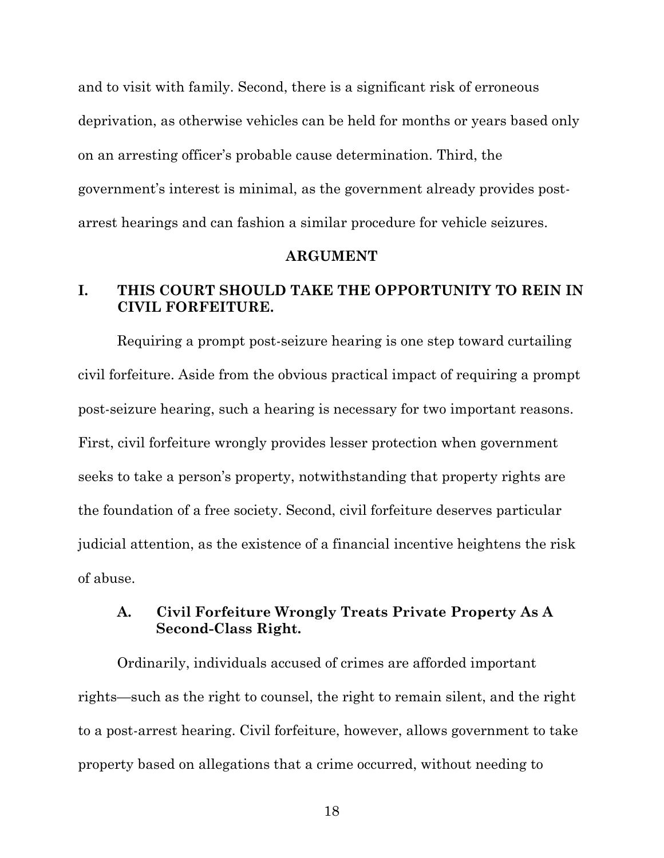and to visit with family. Second, there is a significant risk of erroneous deprivation, as otherwise vehicles can be held for months or years based only on an arresting officer's probable cause determination. Third, the government's interest is minimal, as the government already provides postarrest hearings and can fashion a similar procedure for vehicle seizures.

#### **ARGUMENT**

## **I. THIS COURT SHOULD TAKE THE OPPORTUNITY TO REIN IN CIVIL FORFEITURE.**

Requiring a prompt post-seizure hearing is one step toward curtailing civil forfeiture. Aside from the obvious practical impact of requiring a prompt post-seizure hearing, such a hearing is necessary for two important reasons. First, civil forfeiture wrongly provides lesser protection when government seeks to take a person's property, notwithstanding that property rights are the foundation of a free society. Second, civil forfeiture deserves particular judicial attention, as the existence of a financial incentive heightens the risk of abuse.

### **A. Civil Forfeiture Wrongly Treats Private Property As A Second-Class Right.**

Ordinarily, individuals accused of crimes are afforded important rights—such as the right to counsel, the right to remain silent, and the right to a post-arrest hearing. Civil forfeiture, however, allows government to take property based on allegations that a crime occurred, without needing to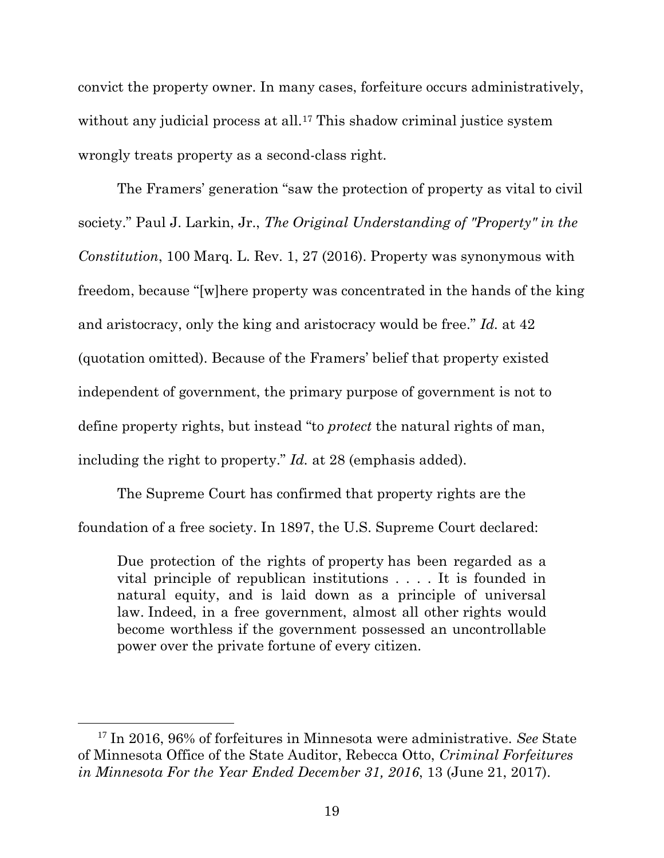convict the property owner. In many cases, forfeiture occurs administratively, without any judicial process at all.<sup>17</sup> This shadow criminal justice system wrongly treats property as a second-class right.

The Framers' generation "saw the protection of property as vital to civil society." Paul J. Larkin, Jr., *The Original Understanding of "Property" in the Constitution*, 100 Marq. L. Rev. 1, 27 (2016). Property was synonymous with freedom, because "[w]here property was concentrated in the hands of the king and aristocracy, only the king and aristocracy would be free." *Id.* at 42 (quotation omitted). Because of the Framers' belief that property existed independent of government, the primary purpose of government is not to define property rights, but instead "to *protect* the natural rights of man, including the right to property." *Id.* at 28 (emphasis added).

The Supreme Court has confirmed that property rights are the foundation of a free society. In 1897, the U.S. Supreme Court declared:

Due protection of the rights of property has been regarded as a vital principle of republican institutions . . . . It is founded in natural equity, and is laid down as a principle of universal law. Indeed, in a free government, almost all other rights would become worthless if the government possessed an uncontrollable power over the private fortune of every citizen.

<sup>17</sup> In 2016, 96% of forfeitures in Minnesota were administrative. *See* State of Minnesota Office of the State Auditor, Rebecca Otto, *Criminal Forfeitures in Minnesota For the Year Ended December 31, 2016*, 13 (June 21, 2017).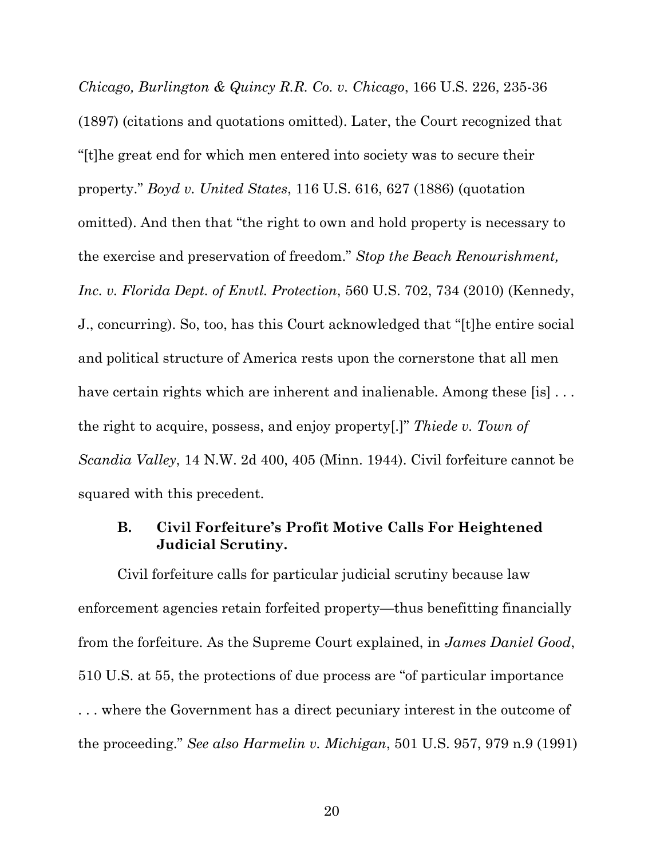*Chicago, Burlington & Quincy R.R. Co. v. Chicago*, 166 U.S. 226, 235-36 (1897) (citations and quotations omitted). Later, the Court recognized that "[t]he great end for which men entered into society was to secure their property." *Boyd v. United States*, 116 U.S. 616, 627 (1886) (quotation omitted). And then that "the right to own and hold property is necessary to the exercise and preservation of freedom." *Stop the Beach Renourishment, Inc. v. Florida Dept. of Envtl. Protection*, 560 U.S. 702, 734 (2010) (Kennedy, J., concurring). So, too, has this Court acknowledged that "[t]he entire social and political structure of America rests upon the cornerstone that all men have certain rights which are inherent and inalienable. Among these [is] ... the right to acquire, possess, and enjoy property[.]" *Thiede v. Town of Scandia Valley*, 14 N.W. 2d 400, 405 (Minn. 1944). Civil forfeiture cannot be squared with this precedent.

#### **B. Civil Forfeiture's Profit Motive Calls For Heightened Judicial Scrutiny.**

Civil forfeiture calls for particular judicial scrutiny because law enforcement agencies retain forfeited property—thus benefitting financially from the forfeiture. As the Supreme Court explained, in *James Daniel Good*, 510 U.S. at 55, the protections of due process are "of particular importance . . . where the Government has a direct pecuniary interest in the outcome of the proceeding." *See also Harmelin v. Michigan*, 501 U.S. 957, 979 n.9 (1991)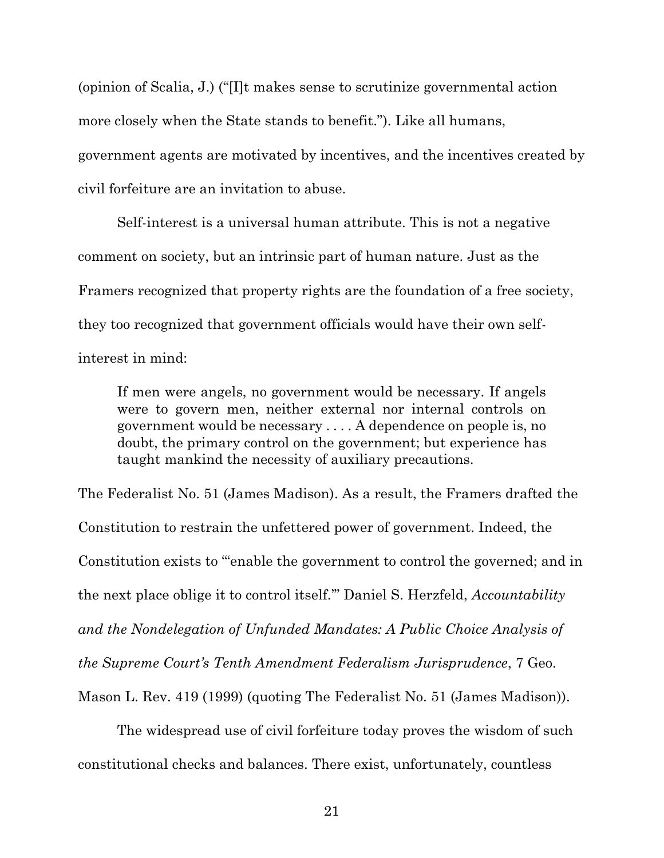(opinion of Scalia, J.) ("[I]t makes sense to scrutinize governmental action more closely when the State stands to benefit."). Like all humans, government agents are motivated by incentives, and the incentives created by civil forfeiture are an invitation to abuse.

Self-interest is a universal human attribute. This is not a negative comment on society, but an intrinsic part of human nature. Just as the Framers recognized that property rights are the foundation of a free society, they too recognized that government officials would have their own selfinterest in mind:

If men were angels, no government would be necessary. If angels were to govern men, neither external nor internal controls on government would be necessary . . . . A dependence on people is, no doubt, the primary control on the government; but experience has taught mankind the necessity of auxiliary precautions.

The Federalist No. 51 (James Madison). As a result, the Framers drafted the Constitution to restrain the unfettered power of government. Indeed, the Constitution exists to "'enable the government to control the governed; and in the next place oblige it to control itself.'" Daniel S. Herzfeld, *Accountability and the Nondelegation of Unfunded Mandates: A Public Choice Analysis of the Supreme Court's Tenth Amendment Federalism Jurisprudence*, 7 Geo. Mason L. Rev. 419 (1999) (quoting The Federalist No. 51 (James Madison)).

The widespread use of civil forfeiture today proves the wisdom of such constitutional checks and balances. There exist, unfortunately, countless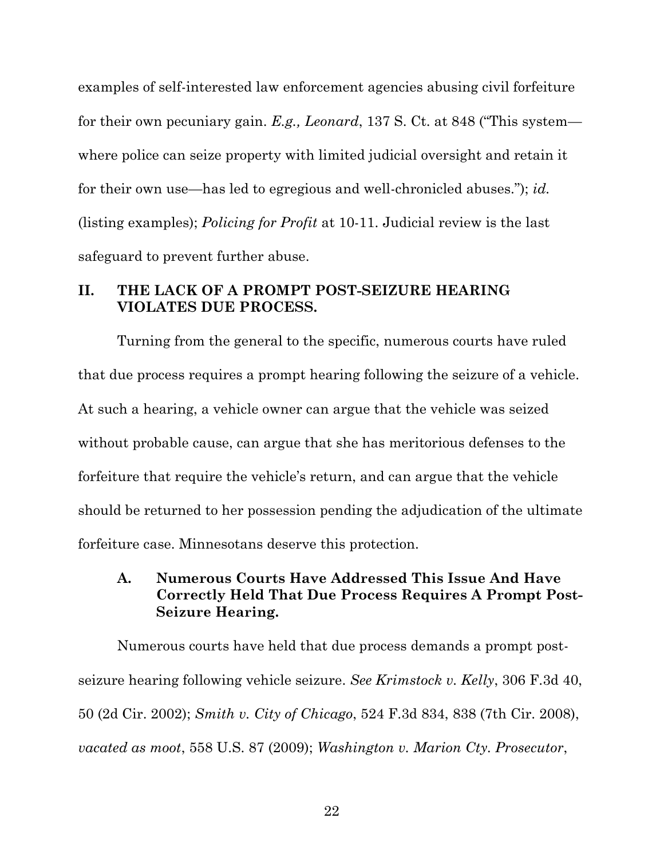examples of self-interested law enforcement agencies abusing civil forfeiture for their own pecuniary gain. *E.g., Leonard*, 137 S. Ct. at 848 ("This system where police can seize property with limited judicial oversight and retain it for their own use—has led to egregious and well-chronicled abuses."); *id.*  (listing examples); *Policing for Profit* at 10-11. Judicial review is the last safeguard to prevent further abuse.

#### **II. THE LACK OF A PROMPT POST-SEIZURE HEARING VIOLATES DUE PROCESS.**

Turning from the general to the specific, numerous courts have ruled that due process requires a prompt hearing following the seizure of a vehicle. At such a hearing, a vehicle owner can argue that the vehicle was seized without probable cause, can argue that she has meritorious defenses to the forfeiture that require the vehicle's return, and can argue that the vehicle should be returned to her possession pending the adjudication of the ultimate forfeiture case. Minnesotans deserve this protection.

## **A. Numerous Courts Have Addressed This Issue And Have Correctly Held That Due Process Requires A Prompt Post-Seizure Hearing.**

Numerous courts have held that due process demands a prompt postseizure hearing following vehicle seizure. *See Krimstock v. Kelly*, 306 F.3d 40, 50 (2d Cir. 2002); *Smith v. City of Chicago*, 524 F.3d 834, 838 (7th Cir. 2008), *vacated as moot*, 558 U.S. 87 (2009); *Washington v. Marion Cty. Prosecutor*,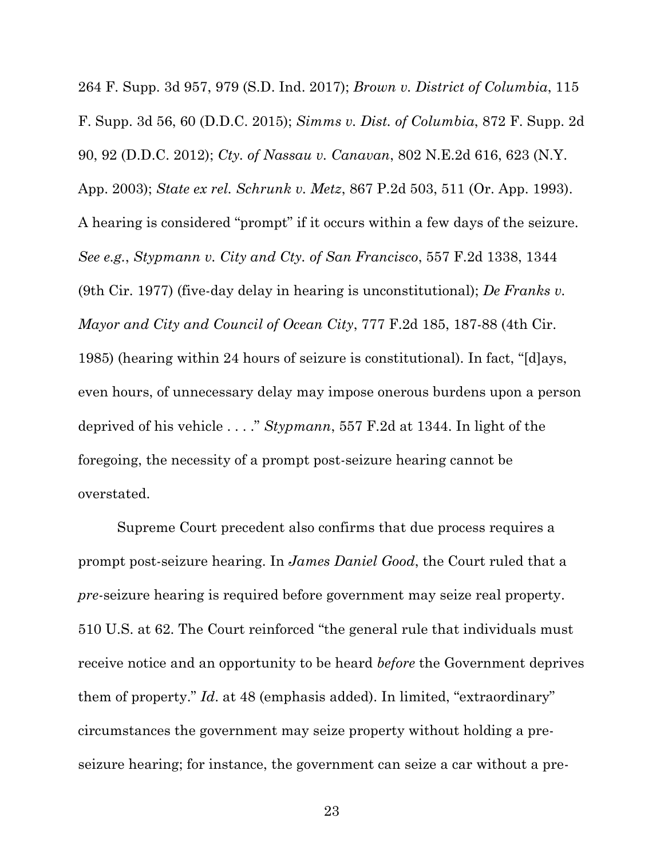264 F. Supp. 3d 957, 979 (S.D. Ind. 2017); *Brown v. District of Columbia*, 115 F. Supp. 3d 56, 60 (D.D.C. 2015); *Simms v. Dist. of Columbia*, 872 F. Supp. 2d 90, 92 (D.D.C. 2012); *Cty. of Nassau v. Canavan*, 802 N.E.2d 616, 623 (N.Y. App. 2003); *State ex rel. Schrunk v. Metz*, 867 P.2d 503, 511 (Or. App. 1993). A hearing is considered "prompt" if it occurs within a few days of the seizure. *See e.g.*, *Stypmann v. City and Cty. of San Francisco*, 557 F.2d 1338, 1344 (9th Cir. 1977) (five-day delay in hearing is unconstitutional); *De Franks v. Mayor and City and Council of Ocean City*, 777 F.2d 185, 187-88 (4th Cir. 1985) (hearing within 24 hours of seizure is constitutional). In fact, "[d]ays, even hours, of unnecessary delay may impose onerous burdens upon a person deprived of his vehicle . . . ." *Stypmann*, 557 F.2d at 1344. In light of the foregoing, the necessity of a prompt post-seizure hearing cannot be overstated.

Supreme Court precedent also confirms that due process requires a prompt post-seizure hearing. In *James Daniel Good*, the Court ruled that a *pre*-seizure hearing is required before government may seize real property. 510 U.S. at 62. The Court reinforced "the general rule that individuals must receive notice and an opportunity to be heard *before* the Government deprives them of property." *Id*. at 48 (emphasis added). In limited, "extraordinary" circumstances the government may seize property without holding a preseizure hearing; for instance, the government can seize a car without a pre-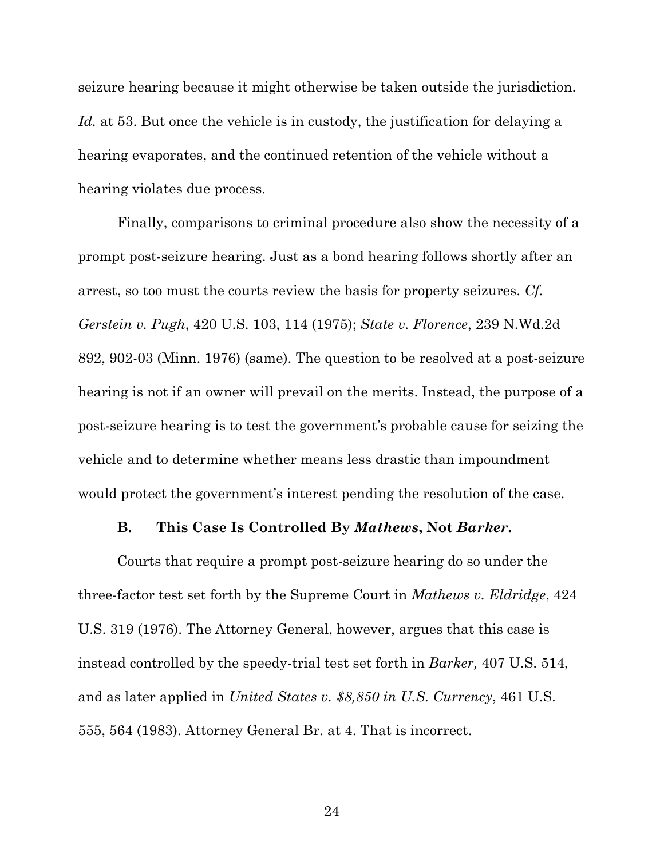seizure hearing because it might otherwise be taken outside the jurisdiction. *Id.* at 53. But once the vehicle is in custody, the justification for delaying a hearing evaporates, and the continued retention of the vehicle without a hearing violates due process.

Finally, comparisons to criminal procedure also show the necessity of a prompt post-seizure hearing. Just as a bond hearing follows shortly after an arrest, so too must the courts review the basis for property seizures. *Cf. Gerstein v. Pugh*, 420 U.S. 103, 114 (1975); *State v. Florence*, 239 N.Wd.2d 892, 902-03 (Minn. 1976) (same). The question to be resolved at a post-seizure hearing is not if an owner will prevail on the merits. Instead, the purpose of a post-seizure hearing is to test the government's probable cause for seizing the vehicle and to determine whether means less drastic than impoundment would protect the government's interest pending the resolution of the case.

#### **B. This Case Is Controlled By** *Mathews***, Not** *Barker***.**

Courts that require a prompt post-seizure hearing do so under the three-factor test set forth by the Supreme Court in *Mathews v. Eldridge*, 424 U.S. 319 (1976). The Attorney General, however, argues that this case is instead controlled by the speedy-trial test set forth in *Barker,* 407 U.S. 514, and as later applied in *United States v. \$8,850 in U.S. Currency*, 461 U.S. 555, 564 (1983). Attorney General Br. at 4. That is incorrect.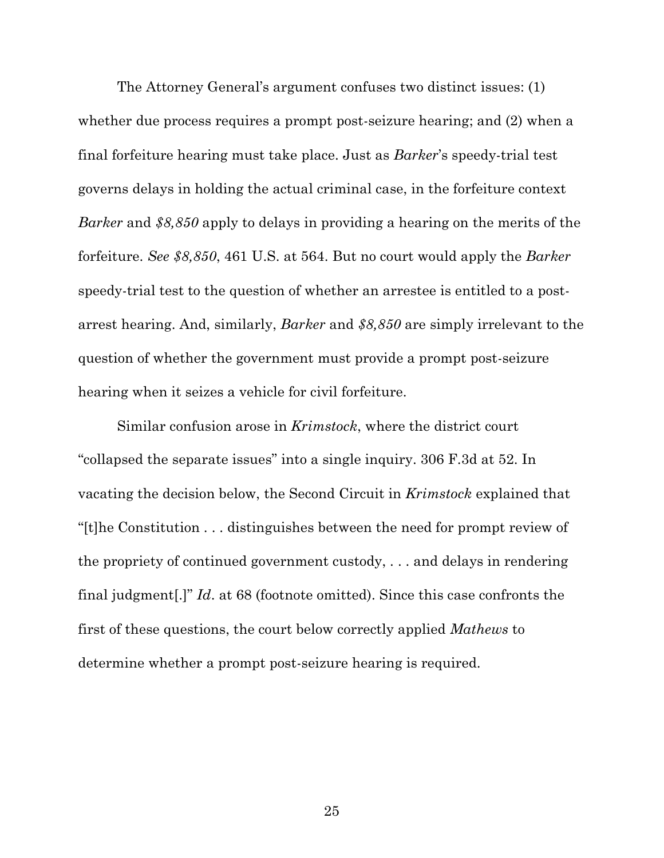The Attorney General's argument confuses two distinct issues: (1) whether due process requires a prompt post-seizure hearing; and  $(2)$  when a final forfeiture hearing must take place. Just as *Barker*'s speedy-trial test governs delays in holding the actual criminal case, in the forfeiture context *Barker* and *\$8,850* apply to delays in providing a hearing on the merits of the forfeiture. *See \$8,850*, 461 U.S. at 564. But no court would apply the *Barker*  speedy-trial test to the question of whether an arrestee is entitled to a postarrest hearing. And, similarly, *Barker* and *\$8,850* are simply irrelevant to the question of whether the government must provide a prompt post-seizure hearing when it seizes a vehicle for civil forfeiture.

Similar confusion arose in *Krimstock*, where the district court "collapsed the separate issues" into a single inquiry. 306 F.3d at 52. In vacating the decision below, the Second Circuit in *Krimstock* explained that "[t]he Constitution . . . distinguishes between the need for prompt review of the propriety of continued government custody, . . . and delays in rendering final judgment[.]" *Id*. at 68 (footnote omitted). Since this case confronts the first of these questions, the court below correctly applied *Mathews* to determine whether a prompt post-seizure hearing is required.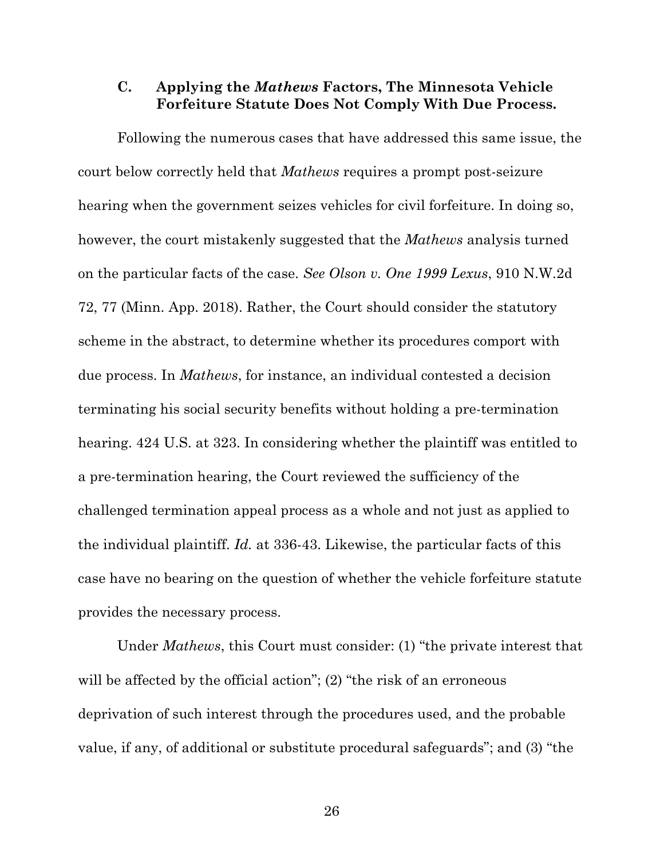#### **C. Applying the** *Mathews* **Factors, The Minnesota Vehicle Forfeiture Statute Does Not Comply With Due Process.**

Following the numerous cases that have addressed this same issue, the court below correctly held that *Mathews* requires a prompt post-seizure hearing when the government seizes vehicles for civil forfeiture. In doing so, however, the court mistakenly suggested that the *Mathews* analysis turned on the particular facts of the case. *See Olson v. One 1999 Lexus*, 910 N.W.2d 72, 77 (Minn. App. 2018). Rather, the Court should consider the statutory scheme in the abstract, to determine whether its procedures comport with due process. In *Mathews*, for instance, an individual contested a decision terminating his social security benefits without holding a pre-termination hearing. 424 U.S. at 323. In considering whether the plaintiff was entitled to a pre-termination hearing, the Court reviewed the sufficiency of the challenged termination appeal process as a whole and not just as applied to the individual plaintiff. *Id.* at 336-43. Likewise, the particular facts of this case have no bearing on the question of whether the vehicle forfeiture statute provides the necessary process.

Under *Mathews*, this Court must consider: (1) "the private interest that will be affected by the official action"; (2) "the risk of an erroneous deprivation of such interest through the procedures used, and the probable value, if any, of additional or substitute procedural safeguards"; and (3) "the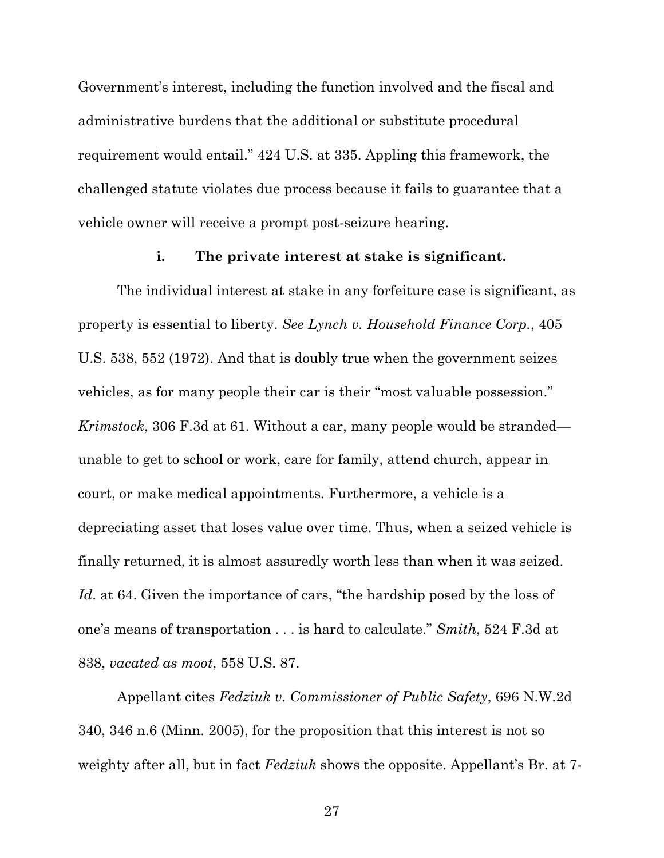Government's interest, including the function involved and the fiscal and administrative burdens that the additional or substitute procedural requirement would entail." 424 U.S. at 335. Appling this framework, the challenged statute violates due process because it fails to guarantee that a vehicle owner will receive a prompt post-seizure hearing.

#### **i. The private interest at stake is significant.**

The individual interest at stake in any forfeiture case is significant, as property is essential to liberty. *See Lynch v. Household Finance Corp.*, 405 U.S. 538, 552 (1972). And that is doubly true when the government seizes vehicles, as for many people their car is their "most valuable possession." *Krimstock*, 306 F.3d at 61. Without a car, many people would be stranded unable to get to school or work, care for family, attend church, appear in court, or make medical appointments. Furthermore, a vehicle is a depreciating asset that loses value over time. Thus, when a seized vehicle is finally returned, it is almost assuredly worth less than when it was seized. *Id*. at 64. Given the importance of cars, "the hardship posed by the loss of one's means of transportation . . . is hard to calculate." *Smith*, 524 F.3d at 838, *vacated as moot*, 558 U.S. 87.

Appellant cites *Fedziuk v. Commissioner of Public Safety*, 696 N.W.2d 340, 346 n.6 (Minn. 2005), for the proposition that this interest is not so weighty after all, but in fact *Fedziuk* shows the opposite. Appellant's Br. at 7-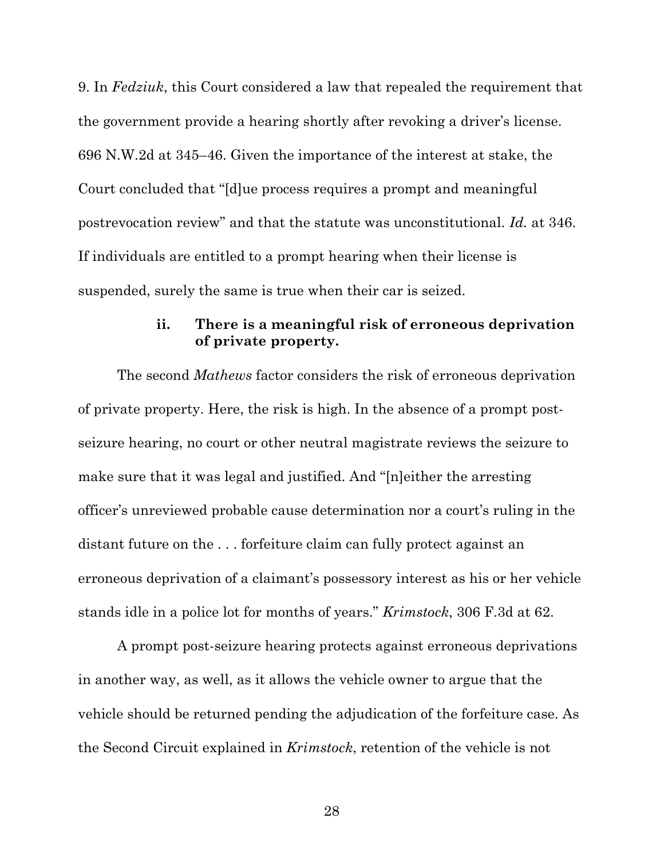9. In *Fedziuk*, this Court considered a law that repealed the requirement that the government provide a hearing shortly after revoking a driver's license. 696 N.W.2d at 345–46. Given the importance of the interest at stake, the Court concluded that "[d]ue process requires a prompt and meaningful postrevocation review" and that the statute was unconstitutional. *Id.* at 346. If individuals are entitled to a prompt hearing when their license is suspended, surely the same is true when their car is seized.

### **ii. There is a meaningful risk of erroneous deprivation of private property.**

The second *Mathews* factor considers the risk of erroneous deprivation of private property. Here, the risk is high. In the absence of a prompt postseizure hearing, no court or other neutral magistrate reviews the seizure to make sure that it was legal and justified. And "[n]either the arresting officer's unreviewed probable cause determination nor a court's ruling in the distant future on the . . . forfeiture claim can fully protect against an erroneous deprivation of a claimant's possessory interest as his or her vehicle stands idle in a police lot for months of years." *Krimstock*, 306 F.3d at 62.

A prompt post-seizure hearing protects against erroneous deprivations in another way, as well, as it allows the vehicle owner to argue that the vehicle should be returned pending the adjudication of the forfeiture case. As the Second Circuit explained in *Krimstock*, retention of the vehicle is not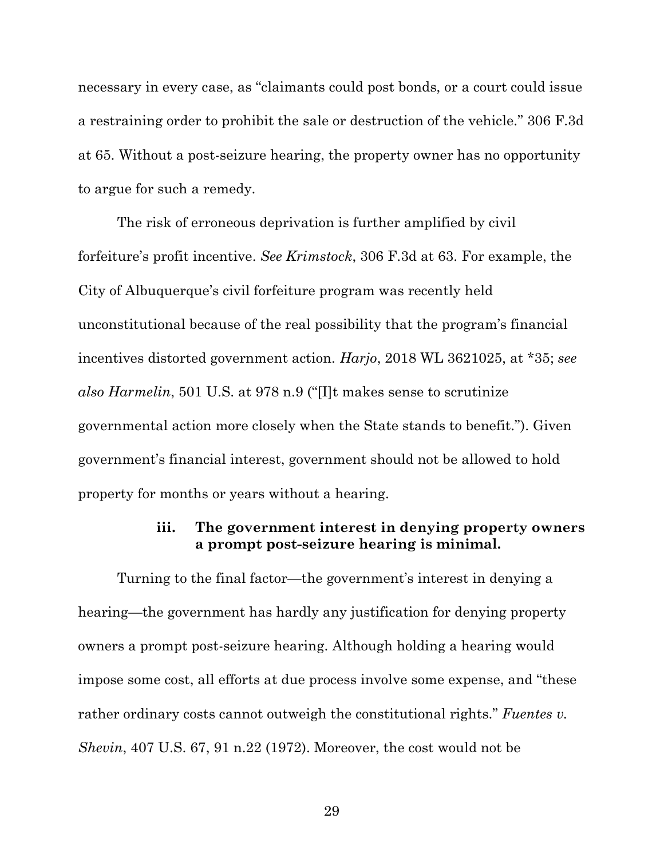necessary in every case, as "claimants could post bonds, or a court could issue a restraining order to prohibit the sale or destruction of the vehicle." 306 F.3d at 65. Without a post-seizure hearing, the property owner has no opportunity to argue for such a remedy.

The risk of erroneous deprivation is further amplified by civil forfeiture's profit incentive. *See Krimstock*, 306 F.3d at 63. For example, the City of Albuquerque's civil forfeiture program was recently held unconstitutional because of the real possibility that the program's financial incentives distorted government action. *Harjo*, 2018 WL 3621025, at \*35; *see also Harmelin*, 501 U.S. at 978 n.9 ("[I]t makes sense to scrutinize governmental action more closely when the State stands to benefit."). Given government's financial interest, government should not be allowed to hold property for months or years without a hearing.

### **iii. The government interest in denying property owners a prompt post-seizure hearing is minimal.**

Turning to the final factor—the government's interest in denying a hearing—the government has hardly any justification for denying property owners a prompt post-seizure hearing. Although holding a hearing would impose some cost, all efforts at due process involve some expense, and "these rather ordinary costs cannot outweigh the constitutional rights." *Fuentes v. Shevin*, 407 U.S. 67, 91 n.22 (1972). Moreover, the cost would not be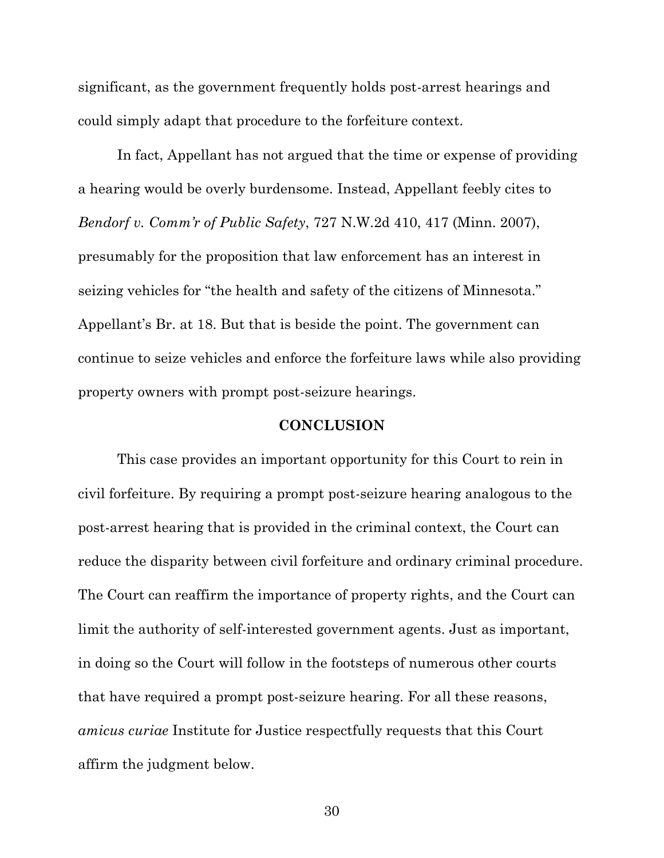significant, as the government frequently holds post-arrest hearings and could simply adapt that procedure to the forfeiture context.

In fact, Appellant has not argued that the time or expense of providing a hearing would be overly burdensome. Instead, Appellant feebly cites to *Bendorf v. Comm'r of Public Safety*, 727 N.W.2d 410, 417 (Minn. 2007), presumably for the proposition that law enforcement has an interest in seizing vehicles for "the health and safety of the citizens of Minnesota." Appellant's Br. at 18. But that is beside the point. The government can continue to seize vehicles and enforce the forfeiture laws while also providing property owners with prompt post-seizure hearings.

#### **CONCLUSION**

This case provides an important opportunity for this Court to rein in civil forfeiture. By requiring a prompt post-seizure hearing analogous to the post-arrest hearing that is provided in the criminal context, the Court can reduce the disparity between civil forfeiture and ordinary criminal procedure. The Court can reaffirm the importance of property rights, and the Court can limit the authority of self-interested government agents. Just as important, in doing so the Court will follow in the footsteps of numerous other courts that have required a prompt post-seizure hearing. For all these reasons, *amicus curiae* Institute for Justice respectfully requests that this Court affirm the judgment below.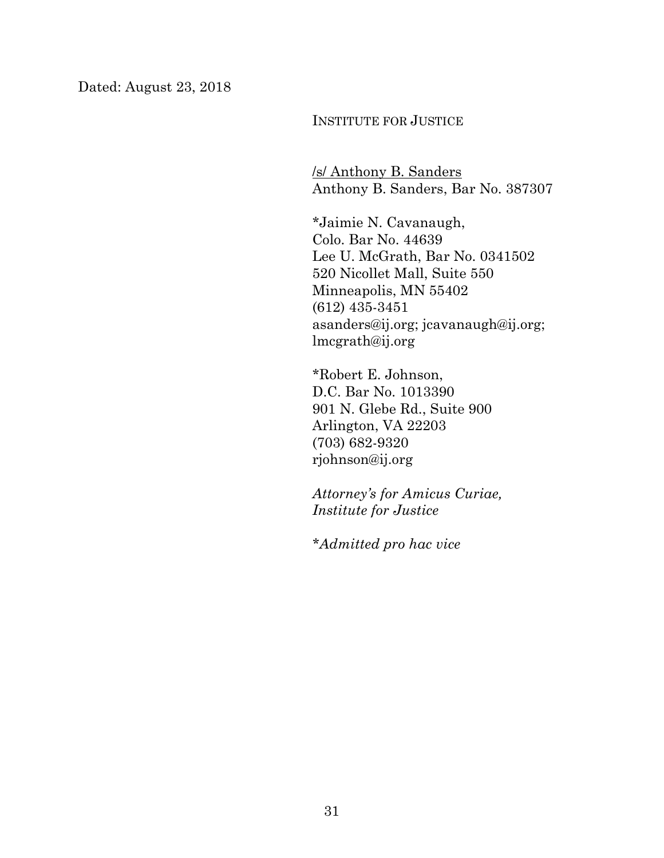INSTITUTE FOR JUSTICE

/s/ Anthony B. Sanders Anthony B. Sanders, Bar No. 387307

\*Jaimie N. Cavanaugh, Colo. Bar No. 44639 Lee U. McGrath, Bar No. 0341502 520 Nicollet Mall, Suite 550 Minneapolis, MN 55402 (612) 435-3451 asanders@ij.org; jcavanaugh@ij.org; lmcgrath@ij.org

\*Robert E. Johnson, D.C. Bar No. 1013390 901 N. Glebe Rd., Suite 900 Arlington, VA 22203 (703) 682-9320 rjohnson@ij.org

*Attorney's for Amicus Curiae, Institute for Justice*

*\*Admitted pro hac vice*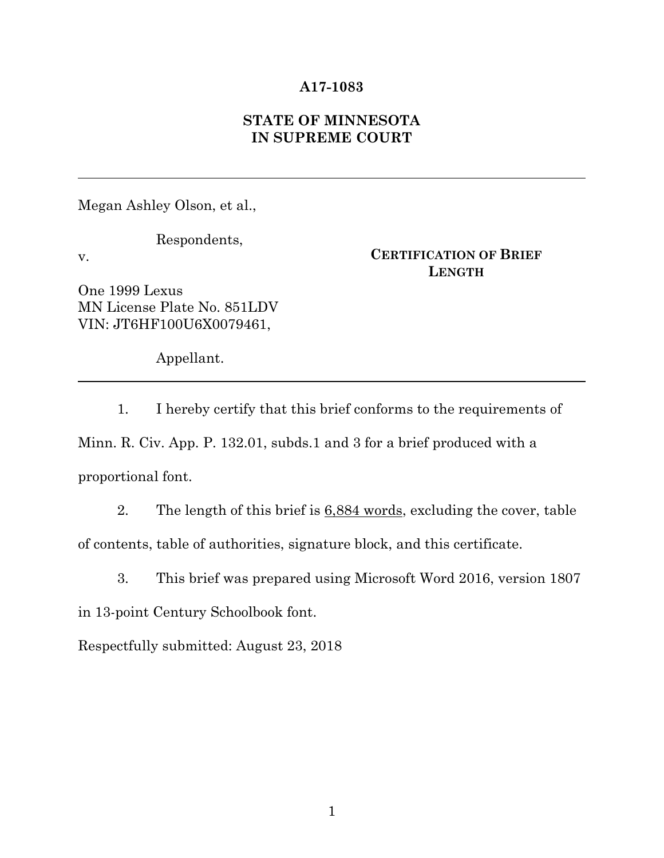#### **A17-1083**

### **STATE OF MINNESOTA IN SUPREME COURT**

Megan Ashley Olson, et al.,

Respondents,

v.

**CERTIFICATION OF BRIEF LENGTH**

One 1999 Lexus MN License Plate No. 851LDV VIN: JT6HF100U6X0079461,

Appellant.

1. I hereby certify that this brief conforms to the requirements of Minn. R. Civ. App. P. 132.01, subds.1 and 3 for a brief produced with a proportional font.

2. The length of this brief is 6,884 words, excluding the cover, table of contents, table of authorities, signature block, and this certificate.

3. This brief was prepared using Microsoft Word 2016, version 1807 in 13-point Century Schoolbook font.

Respectfully submitted: August 23, 2018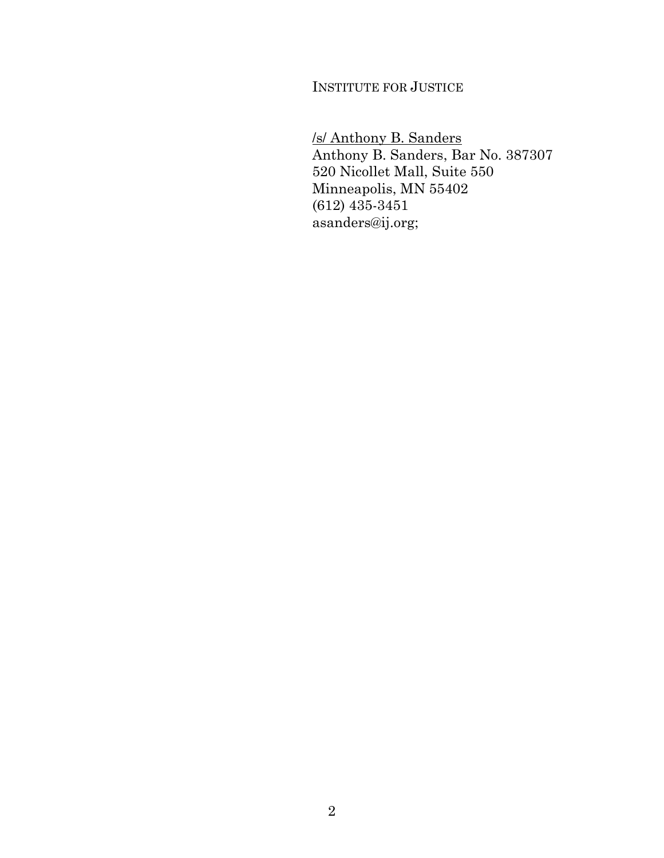INSTITUTE FOR JUSTICE

/s/ Anthony B. Sanders Anthony B. Sanders, Bar No. 387307 520 Nicollet Mall, Suite 550 Minneapolis, MN 55402 (612) 435-3451 asanders@ij.org;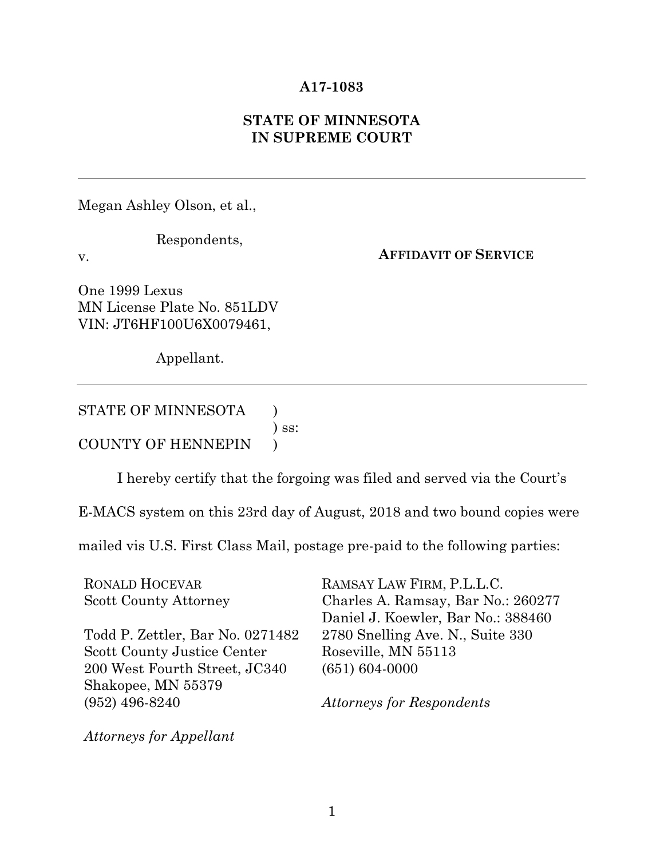#### **A17-1083**

### **STATE OF MINNESOTA IN SUPREME COURT**

Megan Ashley Olson, et al.,

v.

Respondents,

**AFFIDAVIT OF SERVICE**

One 1999 Lexus MN License Plate No. 851LDV VIN: JT6HF100U6X0079461,

Appellant.

STATE OF MINNESOTA  $\qquad$  )

) ss:

COUNTY OF HENNEPIN )

I hereby certify that the forgoing was filed and served via the Court's

E-MACS system on this 23rd day of August, 2018 and two bound copies were

mailed vis U.S. First Class Mail, postage pre-paid to the following parties:

| <b>RONALD HOCEVAR</b>              | RAMSAY LAW FIRM, P.L.L.C.          |
|------------------------------------|------------------------------------|
| <b>Scott County Attorney</b>       | Charles A. Ramsay, Bar No.: 260277 |
|                                    | Daniel J. Koewler, Bar No.: 388460 |
| Todd P. Zettler, Bar No. 0271482   | 2780 Snelling Ave. N., Suite 330   |
| <b>Scott County Justice Center</b> | Roseville, MN 55113                |
| 200 West Fourth Street, JC340      | $(651) 604 - 0000$                 |
| Shakopee, MN 55379                 |                                    |
| $(952)$ 496-8240                   | <b>Attorneys for Respondents</b>   |
|                                    |                                    |

*Attorneys for Appellant*